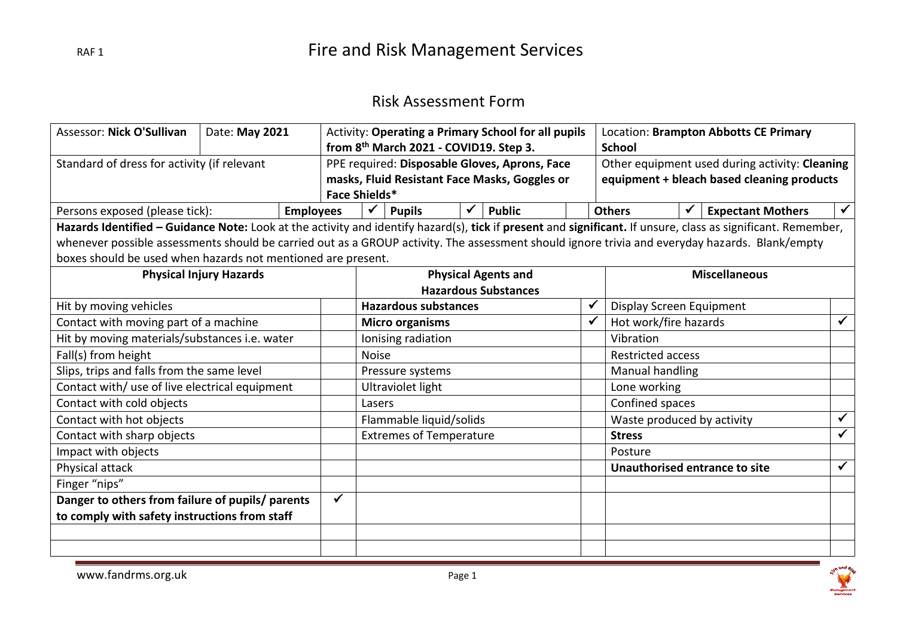### Risk Assessment Form

| Assessor: Nick O'Sullivan                                                                                                                                    | Date: May 2021                 |                  |                                        | Activity: Operating a Primary School for all pupils |                                               |                            |               |                             | Location: Brampton Abbotts CE Primary |                            |  |                                                |              |
|--------------------------------------------------------------------------------------------------------------------------------------------------------------|--------------------------------|------------------|----------------------------------------|-----------------------------------------------------|-----------------------------------------------|----------------------------|---------------|-----------------------------|---------------------------------------|----------------------------|--|------------------------------------------------|--------------|
|                                                                                                                                                              |                                |                  | from 8th March 2021 - COVID19. Step 3. |                                                     |                                               |                            | <b>School</b> |                             |                                       |                            |  |                                                |              |
| Standard of dress for activity (if relevant                                                                                                                  |                                |                  |                                        |                                                     | PPE required: Disposable Gloves, Aprons, Face |                            |               |                             |                                       |                            |  | Other equipment used during activity: Cleaning |              |
|                                                                                                                                                              |                                |                  |                                        |                                                     | masks, Fluid Resistant Face Masks, Goggles or |                            |               |                             |                                       |                            |  | equipment + bleach based cleaning products     |              |
|                                                                                                                                                              |                                |                  |                                        | Face Shields*                                       |                                               |                            |               |                             |                                       |                            |  |                                                |              |
| Persons exposed (please tick):                                                                                                                               |                                | <b>Employees</b> |                                        | ✔                                                   | <b>Pupils</b>                                 |                            | <b>Public</b> |                             |                                       | <b>Others</b>              |  | <b>Expectant Mothers</b>                       |              |
| Hazards Identified - Guidance Note: Look at the activity and identify hazard(s), tick if present and significant. If unsure, class as significant. Remember, |                                |                  |                                        |                                                     |                                               |                            |               |                             |                                       |                            |  |                                                |              |
| whenever possible assessments should be carried out as a GROUP activity. The assessment should ignore trivia and everyday hazards. Blank/empty               |                                |                  |                                        |                                                     |                                               |                            |               |                             |                                       |                            |  |                                                |              |
| boxes should be used when hazards not mentioned are present.                                                                                                 |                                |                  |                                        |                                                     |                                               |                            |               |                             |                                       |                            |  |                                                |              |
|                                                                                                                                                              | <b>Physical Injury Hazards</b> |                  |                                        |                                                     |                                               | <b>Physical Agents and</b> |               |                             |                                       |                            |  | <b>Miscellaneous</b>                           |              |
|                                                                                                                                                              |                                |                  |                                        |                                                     |                                               |                            |               | <b>Hazardous Substances</b> |                                       |                            |  |                                                |              |
| Hit by moving vehicles                                                                                                                                       |                                |                  |                                        |                                                     | <b>Hazardous substances</b>                   |                            |               |                             | ✔                                     | Display Screen Equipment   |  |                                                |              |
| Contact with moving part of a machine                                                                                                                        |                                |                  |                                        |                                                     | <b>Micro organisms</b>                        |                            |               |                             | $\checkmark$                          | Hot work/fire hazards      |  |                                                | $\checkmark$ |
| Hit by moving materials/substances i.e. water                                                                                                                |                                |                  |                                        |                                                     | Ionising radiation                            |                            |               |                             |                                       | Vibration                  |  |                                                |              |
| Fall(s) from height                                                                                                                                          |                                |                  |                                        | <b>Noise</b>                                        |                                               |                            |               |                             |                                       | <b>Restricted access</b>   |  |                                                |              |
| Slips, trips and falls from the same level                                                                                                                   |                                |                  |                                        |                                                     | Pressure systems                              |                            |               |                             |                                       | Manual handling            |  |                                                |              |
| Contact with/ use of live electrical equipment                                                                                                               |                                |                  |                                        |                                                     | Ultraviolet light                             |                            |               |                             |                                       | Lone working               |  |                                                |              |
| Contact with cold objects                                                                                                                                    |                                |                  |                                        | Lasers                                              |                                               |                            |               |                             |                                       | Confined spaces            |  |                                                |              |
| Contact with hot objects                                                                                                                                     |                                |                  |                                        |                                                     | Flammable liquid/solids                       |                            |               |                             |                                       | Waste produced by activity |  |                                                | $\checkmark$ |
| Contact with sharp objects                                                                                                                                   |                                |                  |                                        |                                                     | <b>Extremes of Temperature</b>                |                            |               |                             |                                       | <b>Stress</b>              |  |                                                | $\checkmark$ |
| Impact with objects                                                                                                                                          |                                |                  |                                        |                                                     |                                               |                            |               |                             |                                       | Posture                    |  |                                                |              |
| Physical attack                                                                                                                                              |                                |                  |                                        |                                                     |                                               |                            |               |                             |                                       |                            |  | Unauthorised entrance to site                  | $\checkmark$ |
| Finger "nips"                                                                                                                                                |                                |                  |                                        |                                                     |                                               |                            |               |                             |                                       |                            |  |                                                |              |
| Danger to others from failure of pupils/ parents                                                                                                             |                                |                  | $\checkmark$                           |                                                     |                                               |                            |               |                             |                                       |                            |  |                                                |              |
| to comply with safety instructions from staff                                                                                                                |                                |                  |                                        |                                                     |                                               |                            |               |                             |                                       |                            |  |                                                |              |
|                                                                                                                                                              |                                |                  |                                        |                                                     |                                               |                            |               |                             |                                       |                            |  |                                                |              |
|                                                                                                                                                              |                                |                  |                                        |                                                     |                                               |                            |               |                             |                                       |                            |  |                                                |              |

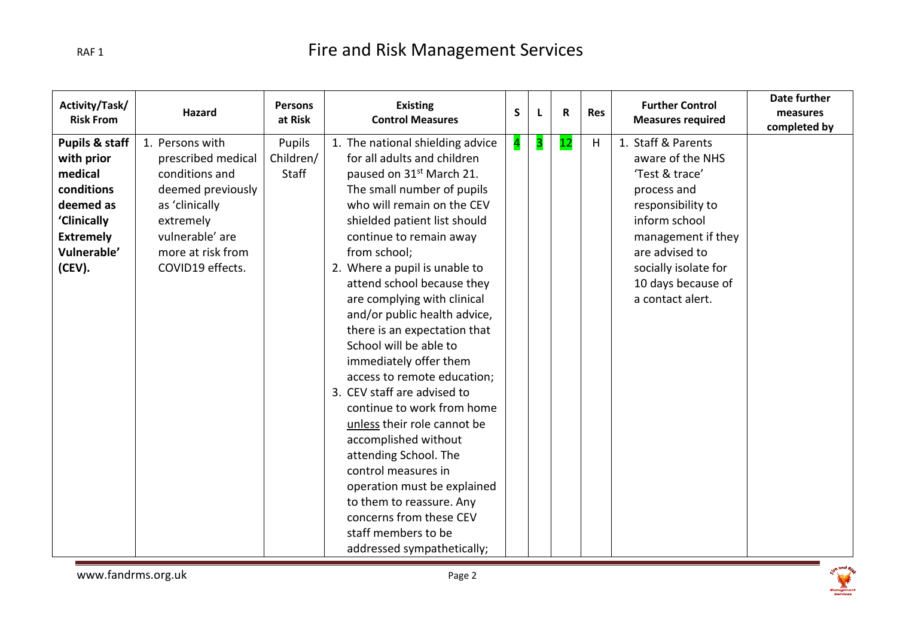| Activity/Task/<br><b>Risk From</b>                                                                                                        | Hazard                                                                                                                                                                  | <b>Persons</b><br>at Risk    | <b>Existing</b><br><b>Control Measures</b>                                                                                                                                                                                                                                                                                                                                                                                                                                                                                                                                                                                                                                                                                                                                                                     | S                       | L | R  | <b>Res</b> | <b>Further Control</b><br><b>Measures required</b>                                                                                                                                                                      | Date further<br>measures<br>completed by |
|-------------------------------------------------------------------------------------------------------------------------------------------|-------------------------------------------------------------------------------------------------------------------------------------------------------------------------|------------------------------|----------------------------------------------------------------------------------------------------------------------------------------------------------------------------------------------------------------------------------------------------------------------------------------------------------------------------------------------------------------------------------------------------------------------------------------------------------------------------------------------------------------------------------------------------------------------------------------------------------------------------------------------------------------------------------------------------------------------------------------------------------------------------------------------------------------|-------------------------|---|----|------------|-------------------------------------------------------------------------------------------------------------------------------------------------------------------------------------------------------------------------|------------------------------------------|
| <b>Pupils &amp; staff</b><br>with prior<br>medical<br>conditions<br>deemed as<br>'Clinically<br><b>Extremely</b><br>Vulnerable'<br>(CEV). | 1. Persons with<br>prescribed medical<br>conditions and<br>deemed previously<br>as 'clinically<br>extremely<br>vulnerable' are<br>more at risk from<br>COVID19 effects. | Pupils<br>Children/<br>Staff | 1. The national shielding advice<br>for all adults and children<br>paused on 31 <sup>st</sup> March 21.<br>The small number of pupils<br>who will remain on the CEV<br>shielded patient list should<br>continue to remain away<br>from school;<br>2. Where a pupil is unable to<br>attend school because they<br>are complying with clinical<br>and/or public health advice,<br>there is an expectation that<br>School will be able to<br>immediately offer them<br>access to remote education;<br>3. CEV staff are advised to<br>continue to work from home<br>unless their role cannot be<br>accomplished without<br>attending School. The<br>control measures in<br>operation must be explained<br>to them to reassure. Any<br>concerns from these CEV<br>staff members to be<br>addressed sympathetically; | $\overline{\mathbf{4}}$ | 3 | 12 | H          | 1. Staff & Parents<br>aware of the NHS<br>'Test & trace'<br>process and<br>responsibility to<br>inform school<br>management if they<br>are advised to<br>socially isolate for<br>10 days because of<br>a contact alert. |                                          |

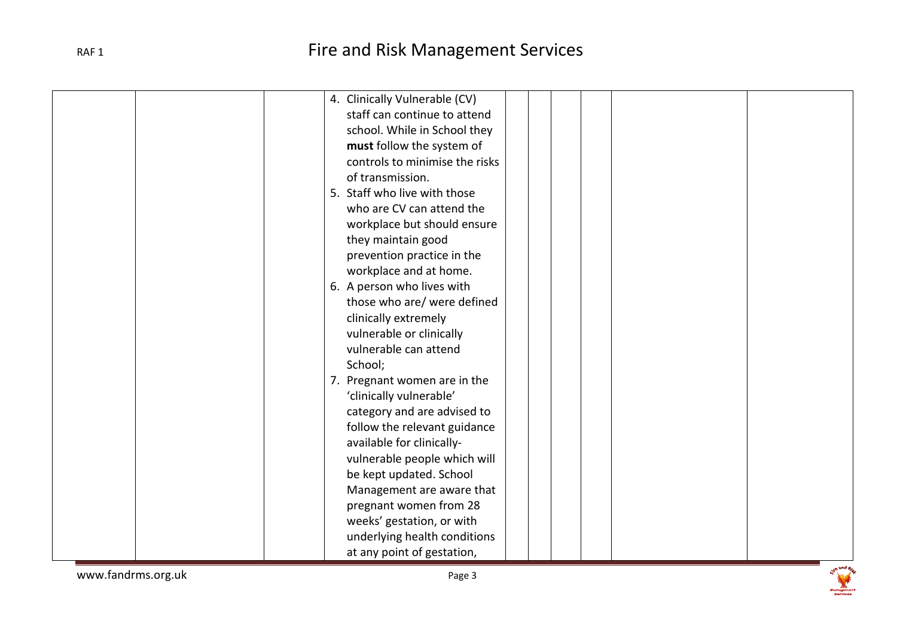| 4. Clinically Vulnerable (CV)  |
|--------------------------------|
| staff can continue to attend   |
| school. While in School they   |
| must follow the system of      |
| controls to minimise the risks |
| of transmission.               |
| 5. Staff who live with those   |
| who are CV can attend the      |
| workplace but should ensure    |
| they maintain good             |
| prevention practice in the     |
| workplace and at home.         |
| 6. A person who lives with     |
| those who are/ were defined    |
| clinically extremely           |
| vulnerable or clinically       |
| vulnerable can attend          |
| School;                        |
| 7. Pregnant women are in the   |
| 'clinically vulnerable'        |
| category and are advised to    |
| follow the relevant guidance   |
| available for clinically-      |
| vulnerable people which will   |
| be kept updated. School        |
| Management are aware that      |
| pregnant women from 28         |
| weeks' gestation, or with      |
| underlying health conditions   |
| at any point of gestation,     |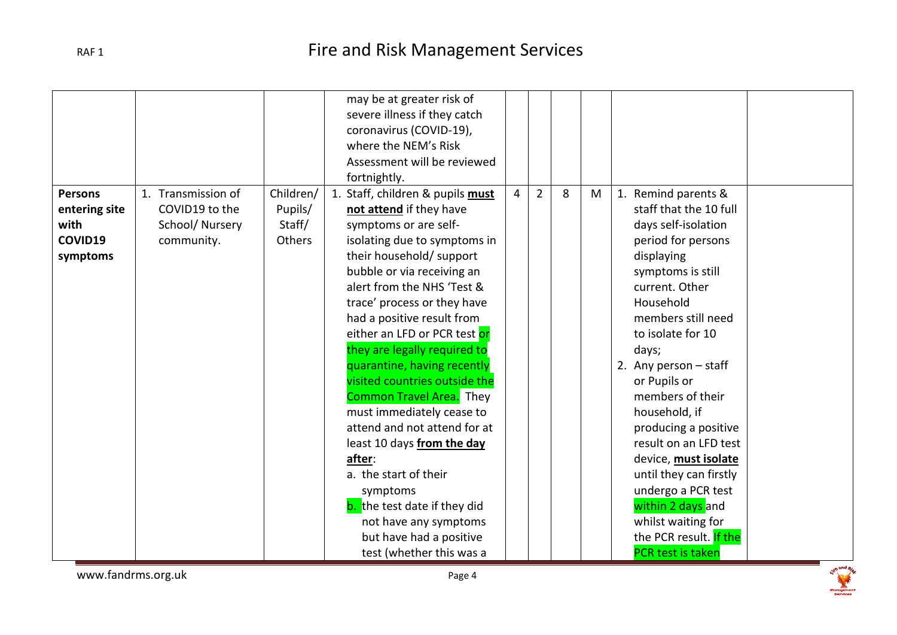|                                                                |                                                                      |                                          | may be at greater risk of<br>severe illness if they catch<br>coronavirus (COVID-19),<br>where the NEM's Risk<br>Assessment will be reviewed<br>fortnightly.                                                                                                                                                                                                                                                                                                                                                                                                                                                                                                                                                   |                |                |   |   |                                                                                                                                                                                                                                                                                                                                                                                                                                                                                                                     |
|----------------------------------------------------------------|----------------------------------------------------------------------|------------------------------------------|---------------------------------------------------------------------------------------------------------------------------------------------------------------------------------------------------------------------------------------------------------------------------------------------------------------------------------------------------------------------------------------------------------------------------------------------------------------------------------------------------------------------------------------------------------------------------------------------------------------------------------------------------------------------------------------------------------------|----------------|----------------|---|---|---------------------------------------------------------------------------------------------------------------------------------------------------------------------------------------------------------------------------------------------------------------------------------------------------------------------------------------------------------------------------------------------------------------------------------------------------------------------------------------------------------------------|
| <b>Persons</b><br>entering site<br>with<br>COVID19<br>symptoms | 1. Transmission of<br>COVID19 to the<br>School/Nursery<br>community. | Children/<br>Pupils/<br>Staff/<br>Others | 1. Staff, children & pupils must<br>not attend if they have<br>symptoms or are self-<br>isolating due to symptoms in<br>their household/ support<br>bubble or via receiving an<br>alert from the NHS 'Test &<br>trace' process or they have<br>had a positive result from<br>either an LFD or PCR test or<br>they are legally required to<br>quarantine, having recently<br>visited countries outside the<br><b>Common Travel Area.</b> They<br>must immediately cease to<br>attend and not attend for at<br>least 10 days from the day<br>after:<br>a. the start of their<br>symptoms<br><b>b.</b> the test date if they did<br>not have any symptoms<br>but have had a positive<br>test (whether this was a | $\overline{4}$ | $\overline{2}$ | 8 | M | 1. Remind parents &<br>staff that the 10 full<br>days self-isolation<br>period for persons<br>displaying<br>symptoms is still<br>current. Other<br>Household<br>members still need<br>to isolate for 10<br>days;<br>2. Any person $-$ staff<br>or Pupils or<br>members of their<br>household, if<br>producing a positive<br>result on an LFD test<br>device, must isolate<br>until they can firstly<br>undergo a PCR test<br>within 2 days and<br>whilst waiting for<br>the PCR result. If the<br>PCR test is taken |

www.fandrms.org.uk example and the example of  $P$ age 4

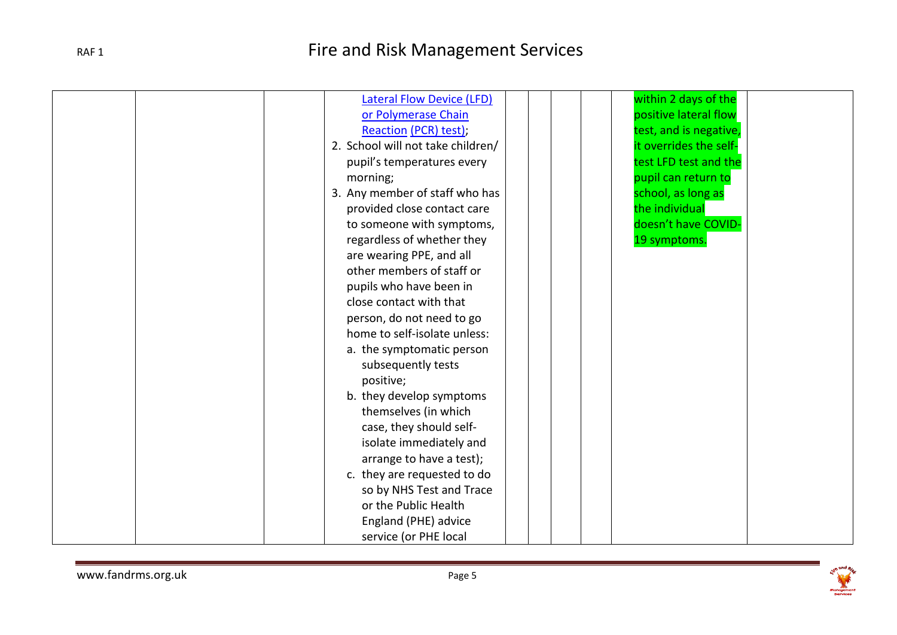| <b>Lateral Flow Device (LFD)</b>  | within 2 days of the   |  |
|-----------------------------------|------------------------|--|
| or Polymerase Chain               | positive lateral flow  |  |
| Reaction (PCR) test);             | test, and is negative, |  |
| 2. School will not take children/ | it overrides the self- |  |
| pupil's temperatures every        | test LFD test and the  |  |
| morning;                          | pupil can return to    |  |
| 3. Any member of staff who has    | school, as long as     |  |
| provided close contact care       | the individual         |  |
| to someone with symptoms,         | doesn't have COVID-    |  |
| regardless of whether they        | 19 symptoms.           |  |
| are wearing PPE, and all          |                        |  |
| other members of staff or         |                        |  |
| pupils who have been in           |                        |  |
| close contact with that           |                        |  |
| person, do not need to go         |                        |  |
| home to self-isolate unless:      |                        |  |
| a. the symptomatic person         |                        |  |
| subsequently tests                |                        |  |
| positive;                         |                        |  |
|                                   |                        |  |
| b. they develop symptoms          |                        |  |
| themselves (in which              |                        |  |
| case, they should self-           |                        |  |
| isolate immediately and           |                        |  |
| arrange to have a test);          |                        |  |
| c. they are requested to do       |                        |  |
| so by NHS Test and Trace          |                        |  |
| or the Public Health              |                        |  |
| England (PHE) advice              |                        |  |
| service (or PHE local             |                        |  |

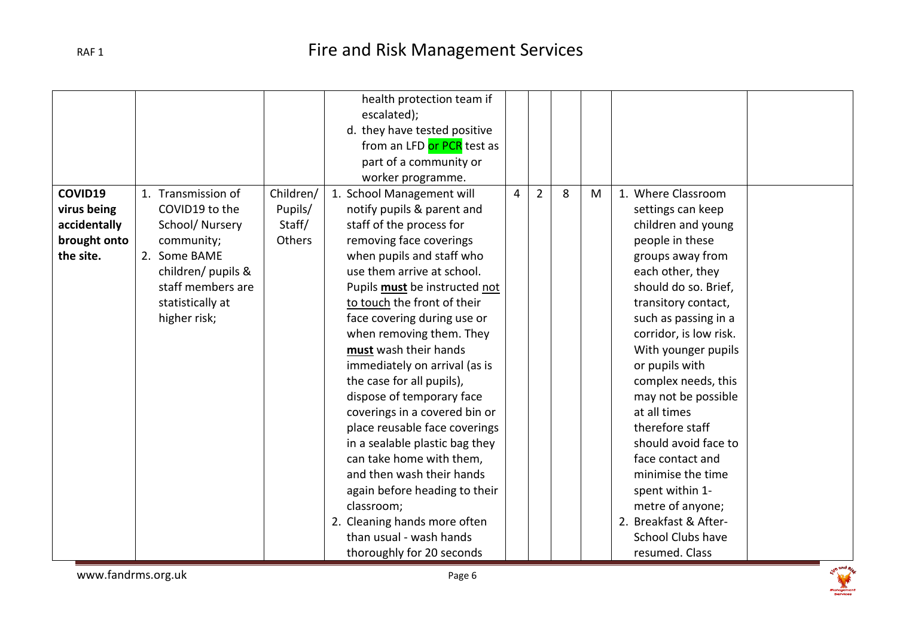|              |                    |           | health protection team if      |                |                |   |   |                          |
|--------------|--------------------|-----------|--------------------------------|----------------|----------------|---|---|--------------------------|
|              |                    |           | escalated);                    |                |                |   |   |                          |
|              |                    |           | d. they have tested positive   |                |                |   |   |                          |
|              |                    |           | from an LFD or PCR test as     |                |                |   |   |                          |
|              |                    |           | part of a community or         |                |                |   |   |                          |
|              |                    |           | worker programme.              |                |                |   |   |                          |
| COVID19      | 1. Transmission of | Children/ | 1. School Management will      | $\overline{4}$ | $\overline{2}$ | 8 | M | 1. Where Classroom       |
| virus being  | COVID19 to the     | Pupils/   | notify pupils & parent and     |                |                |   |   | settings can keep        |
| accidentally | School/Nursery     | Staff/    | staff of the process for       |                |                |   |   | children and young       |
| brought onto | community;         | Others    | removing face coverings        |                |                |   |   | people in these          |
| the site.    | 2. Some BAME       |           | when pupils and staff who      |                |                |   |   | groups away from         |
|              | children/ pupils & |           | use them arrive at school.     |                |                |   |   | each other, they         |
|              | staff members are  |           | Pupils must be instructed not  |                |                |   |   | should do so. Brief,     |
|              | statistically at   |           | to touch the front of their    |                |                |   |   | transitory contact,      |
|              | higher risk;       |           | face covering during use or    |                |                |   |   | such as passing in a     |
|              |                    |           | when removing them. They       |                |                |   |   | corridor, is low risk.   |
|              |                    |           | must wash their hands          |                |                |   |   | With younger pupils      |
|              |                    |           | immediately on arrival (as is  |                |                |   |   | or pupils with           |
|              |                    |           | the case for all pupils),      |                |                |   |   | complex needs, this      |
|              |                    |           | dispose of temporary face      |                |                |   |   | may not be possible      |
|              |                    |           | coverings in a covered bin or  |                |                |   |   | at all times             |
|              |                    |           | place reusable face coverings  |                |                |   |   | therefore staff          |
|              |                    |           | in a sealable plastic bag they |                |                |   |   | should avoid face to     |
|              |                    |           | can take home with them,       |                |                |   |   | face contact and         |
|              |                    |           | and then wash their hands      |                |                |   |   | minimise the time        |
|              |                    |           | again before heading to their  |                |                |   |   | spent within 1-          |
|              |                    |           | classroom;                     |                |                |   |   | metre of anyone;         |
|              |                    |           | 2. Cleaning hands more often   |                |                |   |   | 2. Breakfast & After-    |
|              |                    |           | than usual - wash hands        |                |                |   |   | <b>School Clubs have</b> |
|              |                    |           | thoroughly for 20 seconds      |                |                |   |   | resumed. Class           |

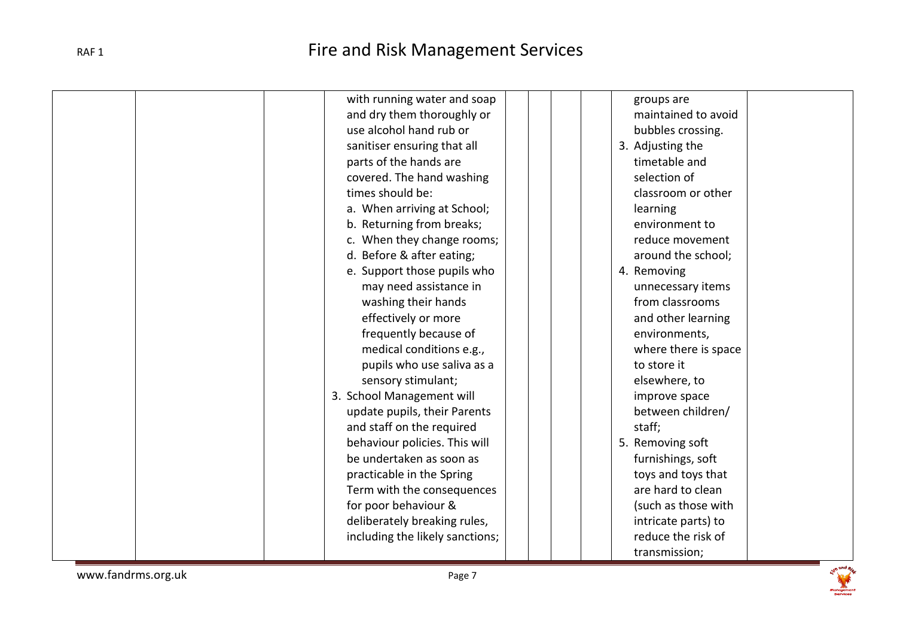| with running water and soap     | groups are           |
|---------------------------------|----------------------|
| and dry them thoroughly or      | maintained to avoid  |
| use alcohol hand rub or         | bubbles crossing.    |
| sanitiser ensuring that all     | 3. Adjusting the     |
| parts of the hands are          | timetable and        |
| covered. The hand washing       | selection of         |
| times should be:                | classroom or other   |
| a. When arriving at School;     | learning             |
| b. Returning from breaks;       | environment to       |
| c. When they change rooms;      | reduce movement      |
| d. Before & after eating;       | around the school;   |
| e. Support those pupils who     | 4. Removing          |
| may need assistance in          | unnecessary items    |
| washing their hands             | from classrooms      |
| effectively or more             | and other learning   |
| frequently because of           | environments,        |
| medical conditions e.g.,        | where there is space |
| pupils who use saliva as a      | to store it          |
| sensory stimulant;              | elsewhere, to        |
| 3. School Management will       | improve space        |
| update pupils, their Parents    | between children/    |
| and staff on the required       | staff;               |
| behaviour policies. This will   | 5. Removing soft     |
| be undertaken as soon as        | furnishings, soft    |
| practicable in the Spring       | toys and toys that   |
| Term with the consequences      | are hard to clean    |
| for poor behaviour &            | (such as those with  |
| deliberately breaking rules,    | intricate parts) to  |
| including the likely sanctions; | reduce the risk of   |
|                                 |                      |
|                                 | transmission;        |

www.fandrms.org.uk example and the page 7

**See and Right**<br>Rangement<br>Services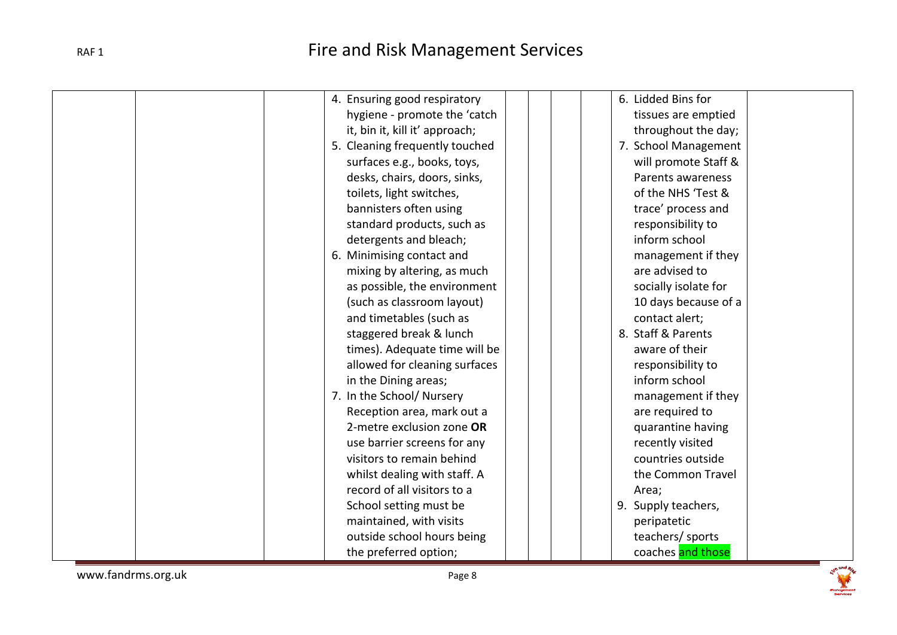| 4. Ensuring good respiratory   | 6. Lidded Bins for   |
|--------------------------------|----------------------|
|                                |                      |
| hygiene - promote the 'catch   | tissues are emptied  |
| it, bin it, kill it' approach; | throughout the day;  |
| 5. Cleaning frequently touched | 7. School Management |
| surfaces e.g., books, toys,    | will promote Staff & |
| desks, chairs, doors, sinks,   | Parents awareness    |
| toilets, light switches,       | of the NHS 'Test &   |
| bannisters often using         | trace' process and   |
| standard products, such as     | responsibility to    |
| detergents and bleach;         | inform school        |
| 6. Minimising contact and      | management if they   |
| mixing by altering, as much    | are advised to       |
| as possible, the environment   | socially isolate for |
| (such as classroom layout)     | 10 days because of a |
| and timetables (such as        | contact alert;       |
| staggered break & lunch        | 8. Staff & Parents   |
| times). Adequate time will be  | aware of their       |
| allowed for cleaning surfaces  | responsibility to    |
| in the Dining areas;           | inform school        |
| 7. In the School/ Nursery      | management if they   |
| Reception area, mark out a     | are required to      |
| 2-metre exclusion zone OR      | quarantine having    |
| use barrier screens for any    | recently visited     |
| visitors to remain behind      | countries outside    |
| whilst dealing with staff. A   | the Common Travel    |
| record of all visitors to a    | Area;                |
| School setting must be         | 9. Supply teachers,  |
| maintained, with visits        |                      |
|                                | peripatetic          |
| outside school hours being     | teachers/ sports     |
| the preferred option;          | coaches and those    |

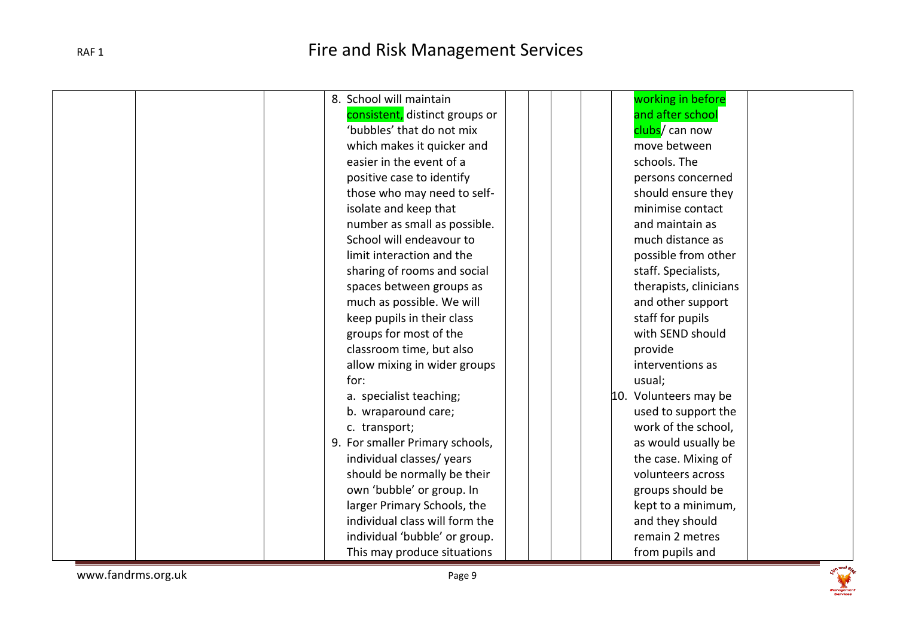|  | 8. School will maintain         |  | working in before      |
|--|---------------------------------|--|------------------------|
|  | consistent, distinct groups or  |  | and after school       |
|  | 'bubbles' that do not mix       |  | clubs/ can now         |
|  | which makes it quicker and      |  | move between           |
|  | easier in the event of a        |  | schools. The           |
|  | positive case to identify       |  | persons concerned      |
|  | those who may need to self-     |  | should ensure they     |
|  | isolate and keep that           |  | minimise contact       |
|  | number as small as possible.    |  | and maintain as        |
|  | School will endeavour to        |  | much distance as       |
|  | limit interaction and the       |  | possible from other    |
|  | sharing of rooms and social     |  | staff. Specialists,    |
|  | spaces between groups as        |  | therapists, clinicians |
|  | much as possible. We will       |  | and other support      |
|  | keep pupils in their class      |  | staff for pupils       |
|  | groups for most of the          |  | with SEND should       |
|  | classroom time, but also        |  | provide                |
|  | allow mixing in wider groups    |  | interventions as       |
|  | for:                            |  | usual;                 |
|  | a. specialist teaching;         |  | 10. Volunteers may be  |
|  | b. wraparound care;             |  | used to support the    |
|  | c. transport;                   |  | work of the school,    |
|  | 9. For smaller Primary schools, |  | as would usually be    |
|  | individual classes/years        |  | the case. Mixing of    |
|  | should be normally be their     |  | volunteers across      |
|  | own 'bubble' or group. In       |  | groups should be       |
|  | larger Primary Schools, the     |  | kept to a minimum,     |
|  | individual class will form the  |  | and they should        |
|  | individual 'bubble' or group.   |  | remain 2 metres        |
|  | This may produce situations     |  | from pupils and        |

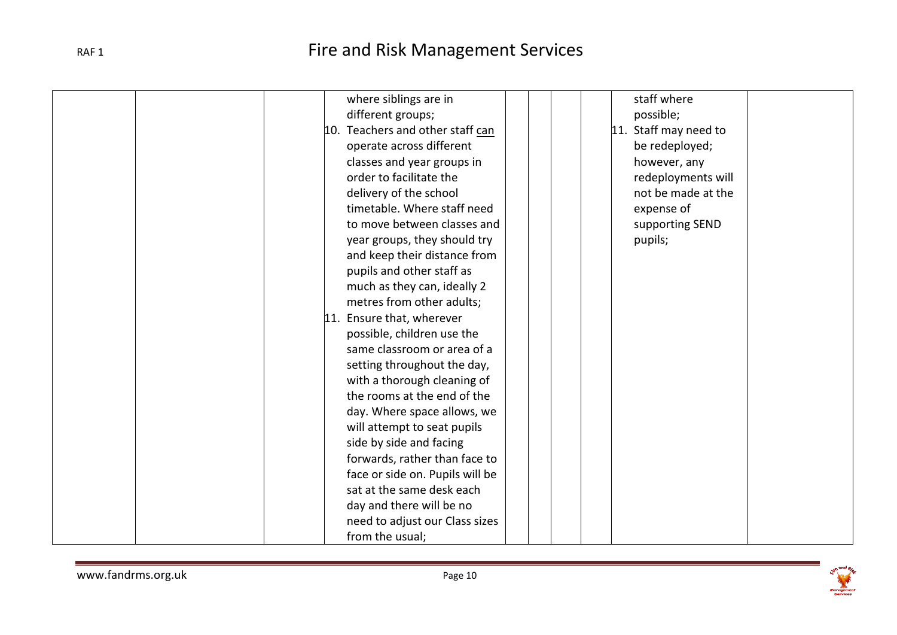| where siblings are in            | staff where           |
|----------------------------------|-----------------------|
| different groups;                | possible;             |
| 10. Teachers and other staff can | 11. Staff may need to |
| operate across different         | be redeployed;        |
| classes and year groups in       | however, any          |
| order to facilitate the          | redeployments will    |
| delivery of the school           | not be made at the    |
| timetable. Where staff need      | expense of            |
| to move between classes and      | supporting SEND       |
| year groups, they should try     | pupils;               |
| and keep their distance from     |                       |
| pupils and other staff as        |                       |
| much as they can, ideally 2      |                       |
| metres from other adults;        |                       |
| 11. Ensure that, wherever        |                       |
| possible, children use the       |                       |
| same classroom or area of a      |                       |
| setting throughout the day,      |                       |
| with a thorough cleaning of      |                       |
| the rooms at the end of the      |                       |
| day. Where space allows, we      |                       |
| will attempt to seat pupils      |                       |
| side by side and facing          |                       |
| forwards, rather than face to    |                       |
| face or side on. Pupils will be  |                       |
| sat at the same desk each        |                       |
| day and there will be no         |                       |
| need to adjust our Class sizes   |                       |
| from the usual;                  |                       |

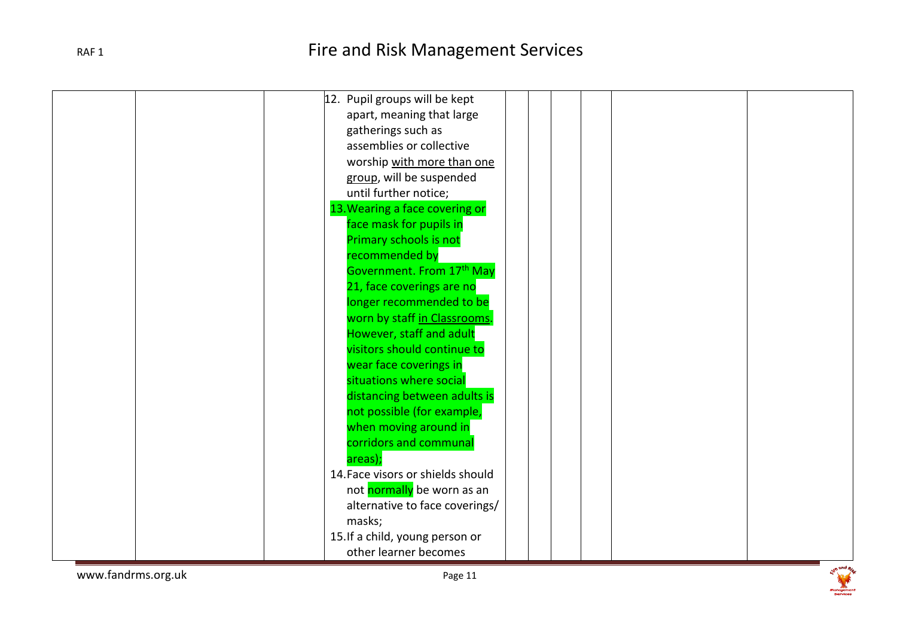| 12. Pupil groups will be kept     |
|-----------------------------------|
| apart, meaning that large         |
| gatherings such as                |
| assemblies or collective          |
| worship with more than one        |
| group, will be suspended          |
| until further notice;             |
| 13. Wearing a face covering or    |
| face mask for pupils in           |
| Primary schools is not            |
| recommended by                    |
| Government. From 17th May         |
| 21, face coverings are no         |
| longer recommended to be          |
| worn by staff in Classrooms.      |
| However, staff and adult          |
| visitors should continue to       |
| wear face coverings in            |
| situations where social           |
| distancing between adults is      |
|                                   |
| not possible (for example,        |
| when moving around in             |
| corridors and communal            |
| areas);                           |
| 14. Face visors or shields should |
| not normally be worn as an        |
| alternative to face coverings/    |
| masks;                            |
| 15. If a child, young person or   |
| other learner becomes             |



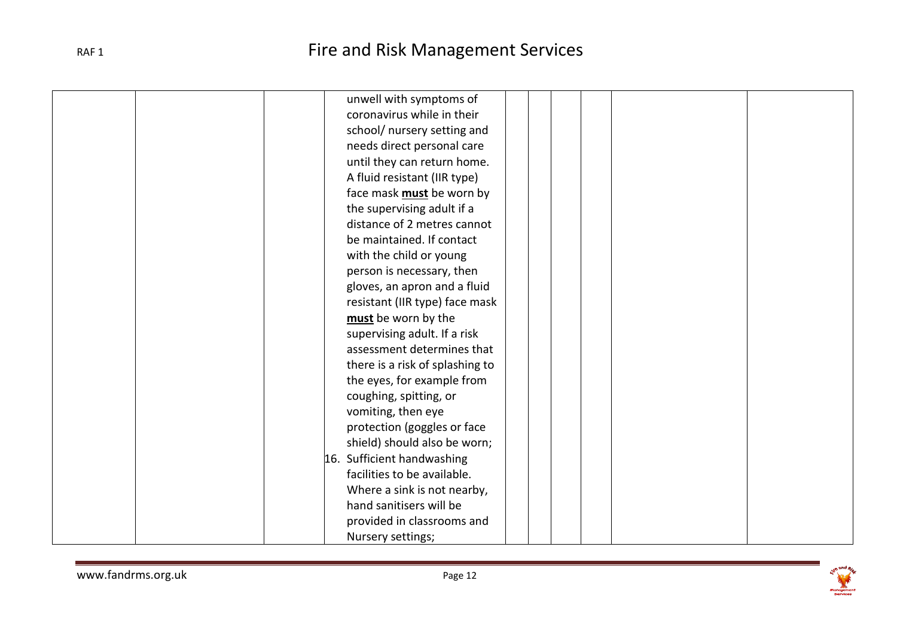| unwell with symptoms of          |
|----------------------------------|
| coronavirus while in their       |
| school/ nursery setting and      |
| needs direct personal care       |
| until they can return home.      |
| A fluid resistant (IIR type)     |
| face mask <b>must</b> be worn by |
| the supervising adult if a       |
| distance of 2 metres cannot      |
| be maintained. If contact        |
| with the child or young          |
| person is necessary, then        |
| gloves, an apron and a fluid     |
| resistant (IIR type) face mask   |
| must be worn by the              |
| supervising adult. If a risk     |
| assessment determines that       |
| there is a risk of splashing to  |
| the eyes, for example from       |
| coughing, spitting, or           |
| vomiting, then eye               |
| protection (goggles or face      |
| shield) should also be worn;     |
| 16. Sufficient handwashing       |
| facilities to be available.      |
| Where a sink is not nearby,      |
| hand sanitisers will be          |
| provided in classrooms and       |
|                                  |
| Nursery settings;                |

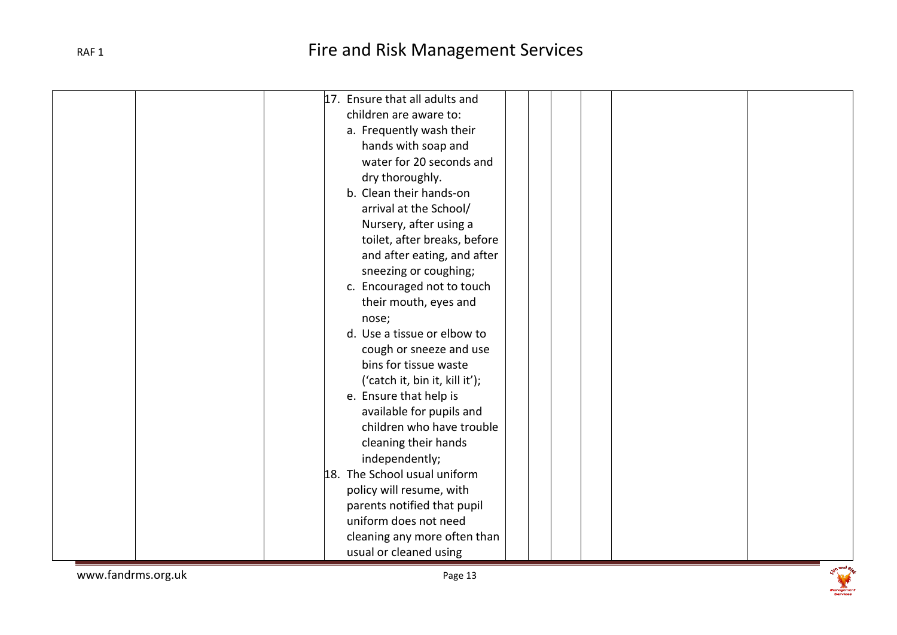| 17. Ensure that all adults and |
|--------------------------------|
|                                |
| children are aware to:         |
| a. Frequently wash their       |
| hands with soap and            |
| water for 20 seconds and       |
| dry thoroughly.                |
| b. Clean their hands-on        |
| arrival at the School/         |
| Nursery, after using a         |
| toilet, after breaks, before   |
| and after eating, and after    |
| sneezing or coughing;          |
| c. Encouraged not to touch     |
| their mouth, eyes and          |
| nose;                          |
| d. Use a tissue or elbow to    |
| cough or sneeze and use        |
| bins for tissue waste          |
| ('catch it, bin it, kill it'); |
| e. Ensure that help is         |
| available for pupils and       |
| children who have trouble      |
| cleaning their hands           |
| independently;                 |
| 18. The School usual uniform   |
| policy will resume, with       |
| parents notified that pupil    |
| uniform does not need          |
| cleaning any more often than   |
|                                |
| usual or cleaned using         |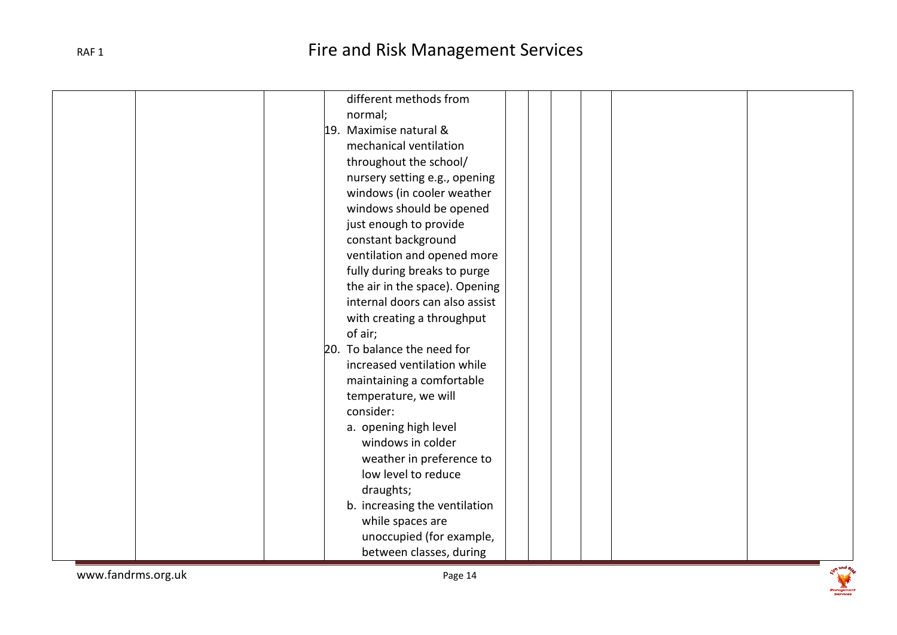| different methods from         |
|--------------------------------|
|                                |
| normal;                        |
| 19. Maximise natural &         |
| mechanical ventilation         |
| throughout the school/         |
| nursery setting e.g., opening  |
| windows (in cooler weather     |
| windows should be opened       |
| just enough to provide         |
| constant background            |
| ventilation and opened more    |
| fully during breaks to purge   |
| the air in the space). Opening |
| internal doors can also assist |
| with creating a throughput     |
| of air;                        |
| 20. To balance the need for    |
| increased ventilation while    |
| maintaining a comfortable      |
| temperature, we will           |
| consider:                      |
| a. opening high level          |
| windows in colder              |
| weather in preference to       |
| low level to reduce            |
| draughts;                      |
| b. increasing the ventilation  |
| while spaces are               |
| unoccupied (for example,       |
|                                |
| between classes, during        |

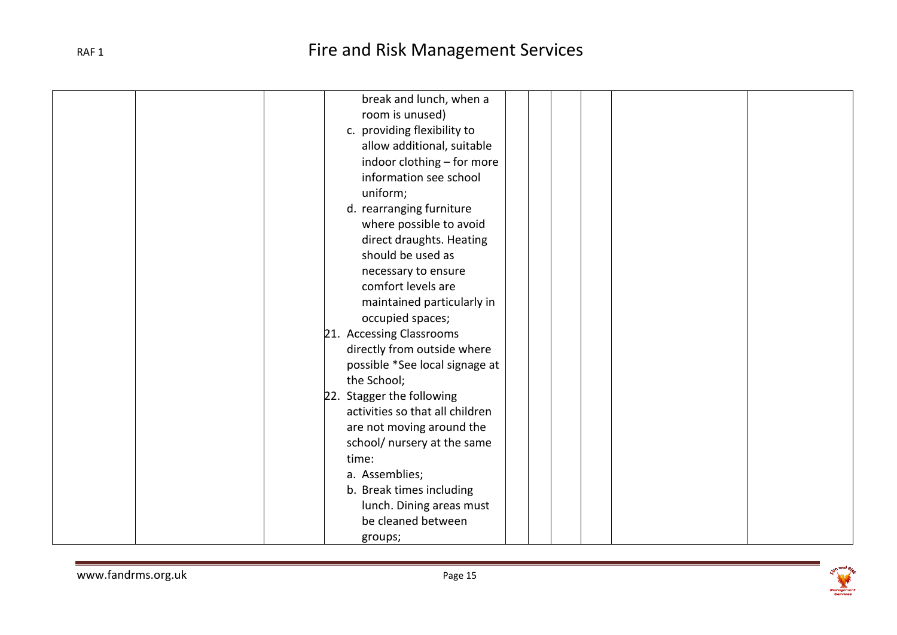| break and lunch, when a         |
|---------------------------------|
| room is unused)                 |
| c. providing flexibility to     |
| allow additional, suitable      |
| indoor clothing - for more      |
| information see school          |
| uniform;                        |
| d. rearranging furniture        |
| where possible to avoid         |
| direct draughts. Heating        |
| should be used as               |
| necessary to ensure             |
| comfort levels are              |
| maintained particularly in      |
| occupied spaces;                |
| 21. Accessing Classrooms        |
| directly from outside where     |
| possible *See local signage at  |
| the School;                     |
| 22. Stagger the following       |
| activities so that all children |
| are not moving around the       |
| school/ nursery at the same     |
| time:                           |
| a. Assemblies;                  |
| b. Break times including        |
| lunch. Dining areas must        |
| be cleaned between              |
| groups;                         |
|                                 |

ise and River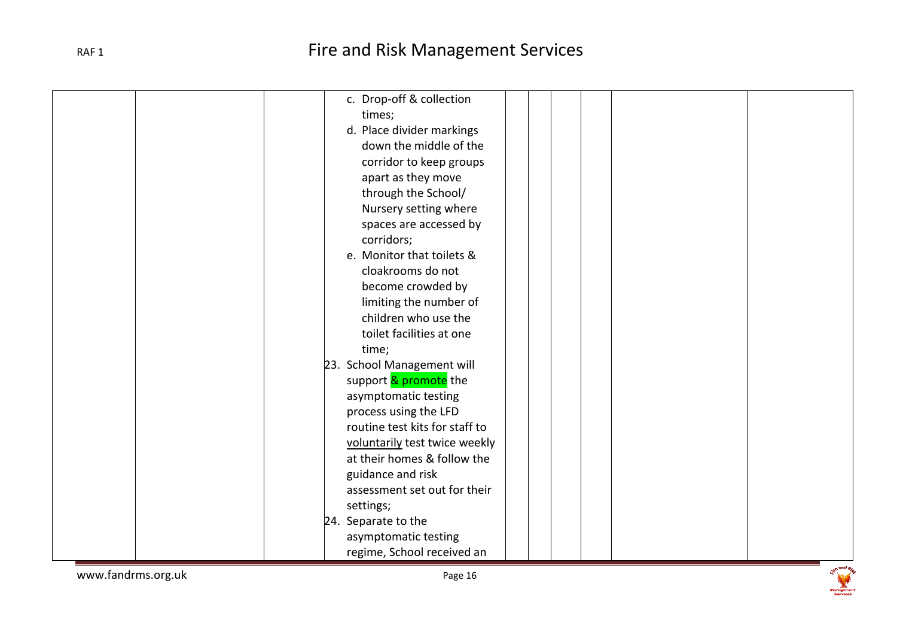| c. Drop-off & collection       |
|--------------------------------|
| times;                         |
| d. Place divider markings      |
| down the middle of the         |
| corridor to keep groups        |
| apart as they move             |
| through the School/            |
| Nursery setting where          |
| spaces are accessed by         |
| corridors;                     |
| e. Monitor that toilets &      |
| cloakrooms do not              |
| become crowded by              |
| limiting the number of         |
| children who use the           |
| toilet facilities at one       |
| time;                          |
| 23. School Management will     |
| support & promote the          |
| asymptomatic testing           |
| process using the LFD          |
| routine test kits for staff to |
| voluntarily test twice weekly  |
| at their homes & follow the    |
| guidance and risk              |
| assessment set out for their   |
| settings;                      |
| 24. Separate to the            |
| asymptomatic testing           |
| regime, School received an     |
|                                |

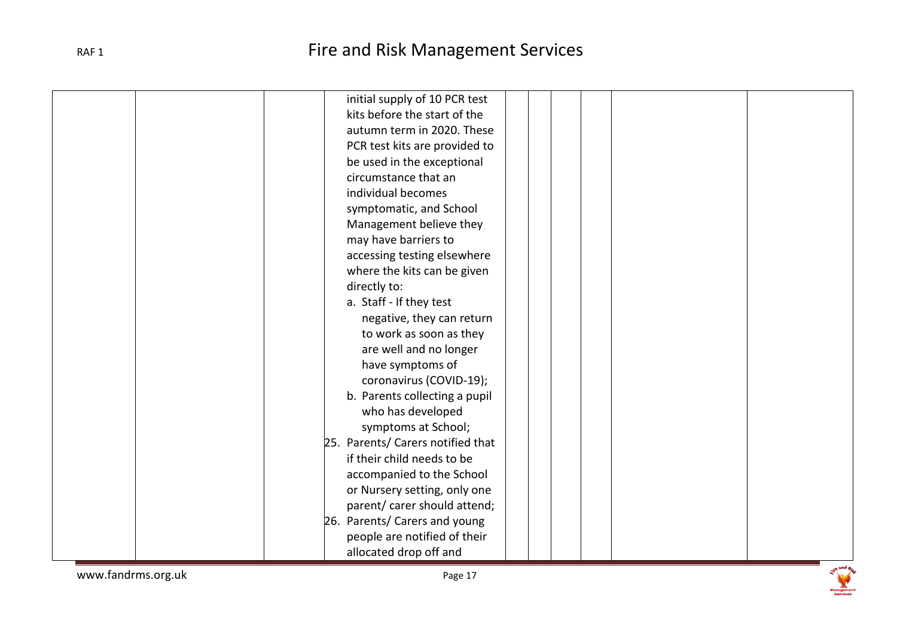| initial supply of 10 PCR test     |
|-----------------------------------|
| kits before the start of the      |
| autumn term in 2020. These        |
| PCR test kits are provided to     |
| be used in the exceptional        |
| circumstance that an              |
| individual becomes                |
| symptomatic, and School           |
| Management believe they           |
| may have barriers to              |
| accessing testing elsewhere       |
| where the kits can be given       |
| directly to:                      |
| a. Staff - If they test           |
| negative, they can return         |
| to work as soon as they           |
| are well and no longer            |
| have symptoms of                  |
| coronavirus (COVID-19);           |
| b. Parents collecting a pupil     |
| who has developed                 |
| symptoms at School;               |
| 25. Parents/ Carers notified that |
| if their child needs to be        |
| accompanied to the School         |
| or Nursery setting, only one      |
| parent/ carer should attend;      |
| 26. Parents/ Carers and young     |
| people are notified of their      |
| allocated drop off and            |

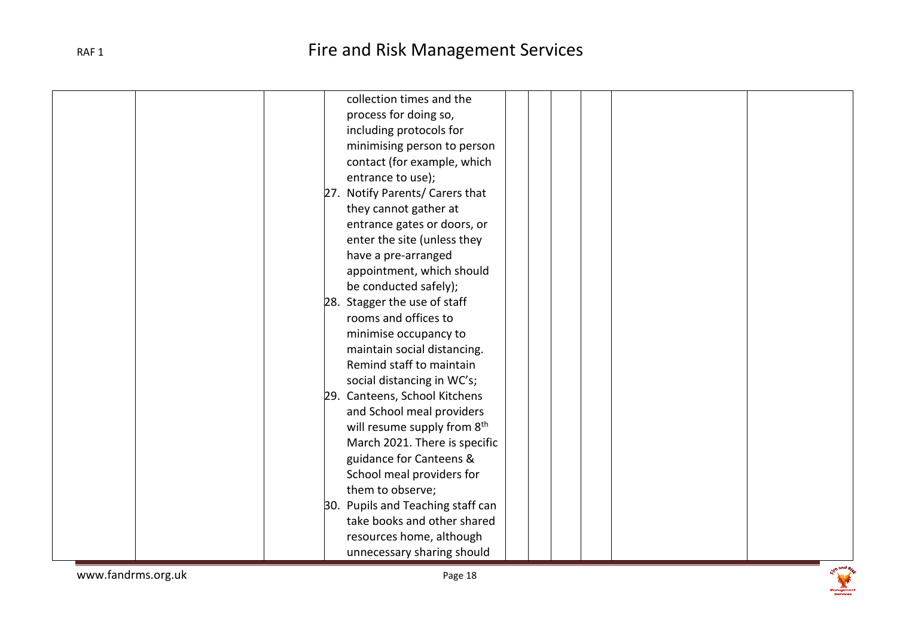| collection times and the                |
|-----------------------------------------|
| process for doing so,                   |
| including protocols for                 |
| minimising person to person             |
| contact (for example, which             |
| entrance to use);                       |
| 27. Notify Parents/ Carers that         |
| they cannot gather at                   |
| entrance gates or doors, or             |
| enter the site (unless they             |
| have a pre-arranged                     |
| appointment, which should               |
| be conducted safely);                   |
| 28. Stagger the use of staff            |
| rooms and offices to                    |
| minimise occupancy to                   |
| maintain social distancing.             |
| Remind staff to maintain                |
| social distancing in WC's;              |
| 29. Canteens, School Kitchens           |
| and School meal providers               |
| will resume supply from 8 <sup>th</sup> |
| March 2021. There is specific           |
| guidance for Canteens &                 |
| School meal providers for               |
| them to observe;                        |
| 30. Pupils and Teaching staff can       |
| take books and other shared             |
| resources home, although                |
| unnecessary sharing should              |
|                                         |

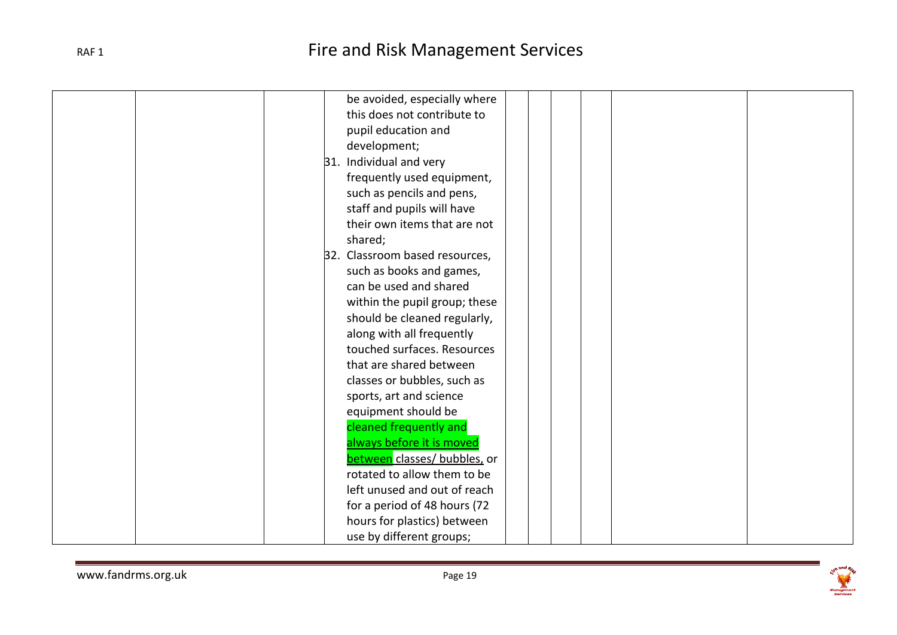| be avoided, especially where   |
|--------------------------------|
| this does not contribute to    |
| pupil education and            |
| development;                   |
| 31. Individual and very        |
| frequently used equipment,     |
| such as pencils and pens,      |
| staff and pupils will have     |
| their own items that are not   |
| shared;                        |
| 32. Classroom based resources, |
| such as books and games,       |
| can be used and shared         |
| within the pupil group; these  |
| should be cleaned regularly,   |
| along with all frequently      |
| touched surfaces. Resources    |
| that are shared between        |
| classes or bubbles, such as    |
| sports, art and science        |
| equipment should be            |
| cleaned frequently and         |
| always before it is moved      |
| between classes/ bubbles, or   |
| rotated to allow them to be    |
| left unused and out of reach   |
| for a period of 48 hours (72   |
| hours for plastics) between    |
| use by different groups;       |

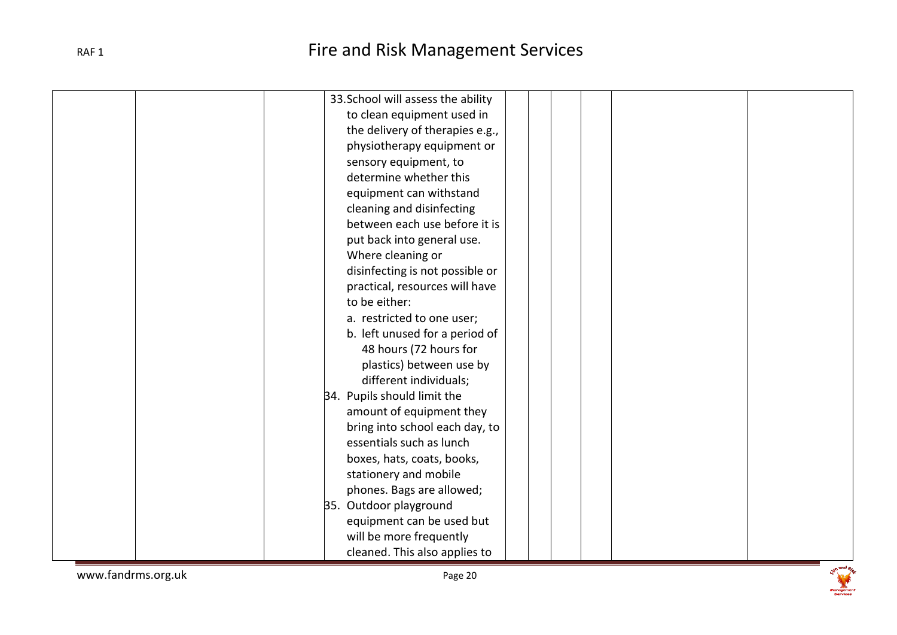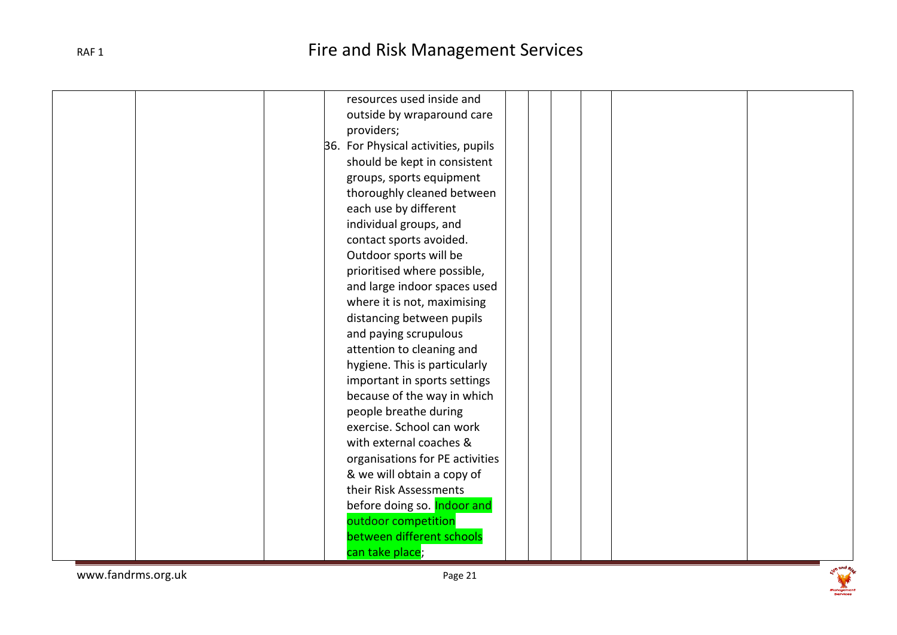| resources used inside and           |
|-------------------------------------|
| outside by wraparound care          |
| providers;                          |
| 36. For Physical activities, pupils |
| should be kept in consistent        |
| groups, sports equipment            |
| thoroughly cleaned between          |
| each use by different               |
| individual groups, and              |
| contact sports avoided.             |
| Outdoor sports will be              |
| prioritised where possible,         |
| and large indoor spaces used        |
| where it is not, maximising         |
| distancing between pupils           |
| and paying scrupulous               |
| attention to cleaning and           |
| hygiene. This is particularly       |
| important in sports settings        |
| because of the way in which         |
| people breathe during               |
| exercise. School can work           |
| with external coaches &             |
| organisations for PE activities     |
| & we will obtain a copy of          |
| their Risk Assessments              |
| before doing so. Indoor and         |
| outdoor competition                 |
| between different schools           |
| can take place;                     |

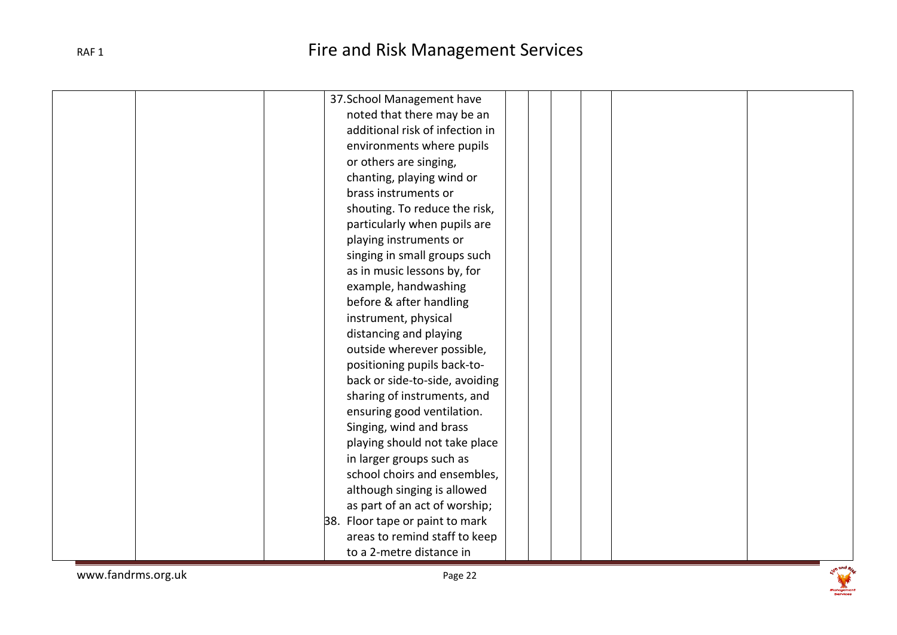|  | 37. School Management have      |
|--|---------------------------------|
|  | noted that there may be an      |
|  | additional risk of infection in |
|  | environments where pupils       |
|  | or others are singing,          |
|  | chanting, playing wind or       |
|  | brass instruments or            |
|  | shouting. To reduce the risk,   |
|  | particularly when pupils are    |
|  | playing instruments or          |
|  | singing in small groups such    |
|  | as in music lessons by, for     |
|  | example, handwashing            |
|  | before & after handling         |
|  | instrument, physical            |
|  | distancing and playing          |
|  | outside wherever possible,      |
|  | positioning pupils back-to-     |
|  | back or side-to-side, avoiding  |
|  | sharing of instruments, and     |
|  | ensuring good ventilation.      |
|  | Singing, wind and brass         |
|  | playing should not take place   |
|  | in larger groups such as        |
|  | school choirs and ensembles,    |
|  | although singing is allowed     |
|  | as part of an act of worship;   |
|  | 38. Floor tape or paint to mark |
|  | areas to remind staff to keep   |
|  | to a 2-metre distance in        |
|  |                                 |

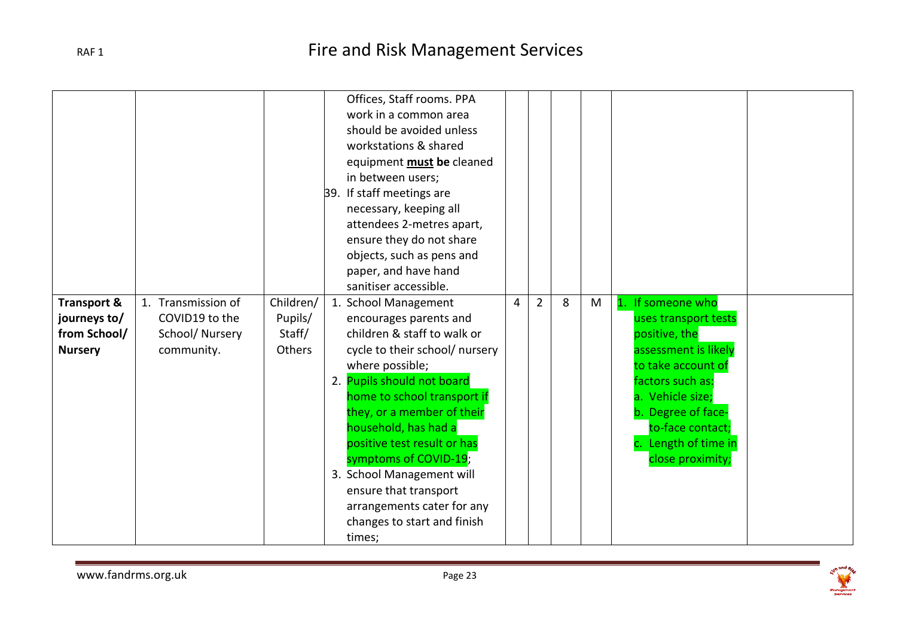| <b>Transport &amp;</b>                         | 1. Transmission of                             | Children/                   | Offices, Staff rooms. PPA<br>work in a common area<br>should be avoided unless<br>workstations & shared<br>equipment <b>must</b> be cleaned<br>in between users;<br>39. If staff meetings are<br>necessary, keeping all<br>attendees 2-metres apart,<br>ensure they do not share<br>objects, such as pens and<br>paper, and have hand<br>sanitiser accessible.<br>1. School Management                             | 4 | $\overline{2}$ | 8 | M | 1. If someone who                                                                                                                                                                                              |
|------------------------------------------------|------------------------------------------------|-----------------------------|--------------------------------------------------------------------------------------------------------------------------------------------------------------------------------------------------------------------------------------------------------------------------------------------------------------------------------------------------------------------------------------------------------------------|---|----------------|---|---|----------------------------------------------------------------------------------------------------------------------------------------------------------------------------------------------------------------|
| journeys to/<br>from School/<br><b>Nursery</b> | COVID19 to the<br>School/Nursery<br>community. | Pupils/<br>Staff/<br>Others | encourages parents and<br>children & staff to walk or<br>cycle to their school/ nursery<br>where possible;<br>2. Pupils should not board<br>home to school transport if<br>they, or a member of their<br>household, has had a<br>positive test result or has<br>symptoms of COVID-19;<br>3. School Management will<br>ensure that transport<br>arrangements cater for any<br>changes to start and finish<br>times; |   |                |   |   | uses transport tests<br>positive, the<br>assessment is likely<br>to take account of<br>factors such as:<br>a. Vehicle size;<br>b. Degree of face-<br>to-face contact;<br>Length of time in<br>close proximity; |



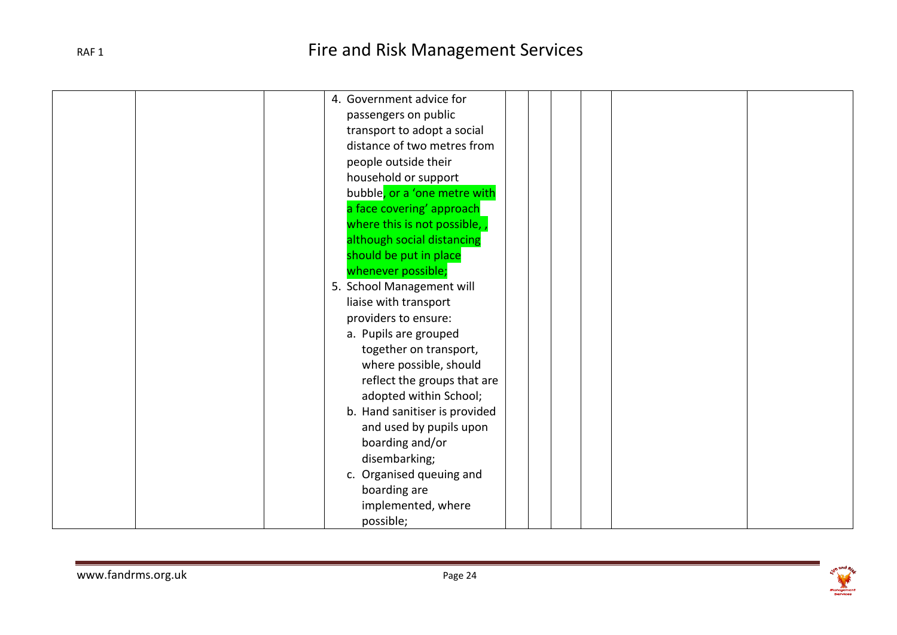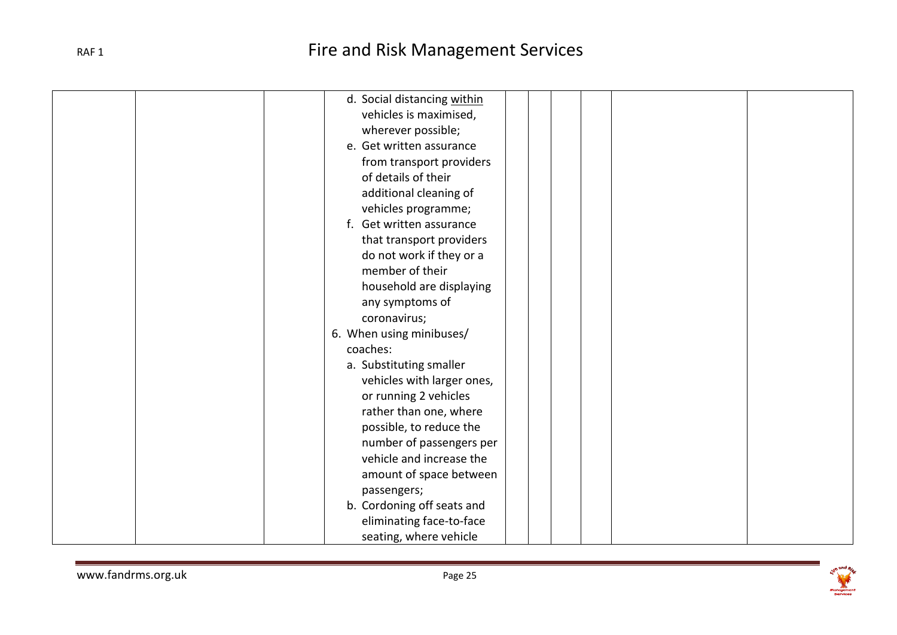| d. Social distancing within |
|-----------------------------|
| vehicles is maximised,      |
| wherever possible;          |
| e. Get written assurance    |
| from transport providers    |
| of details of their         |
| additional cleaning of      |
| vehicles programme;         |
| Get written assurance<br>f. |
| that transport providers    |
| do not work if they or a    |
| member of their             |
| household are displaying    |
| any symptoms of             |
| coronavirus;                |
| 6. When using minibuses/    |
| coaches:                    |
| a. Substituting smaller     |
| vehicles with larger ones,  |
| or running 2 vehicles       |
| rather than one, where      |
| possible, to reduce the     |
| number of passengers per    |
| vehicle and increase the    |
| amount of space between     |
| passengers;                 |
| b. Cordoning off seats and  |
| eliminating face-to-face    |
| seating, where vehicle      |

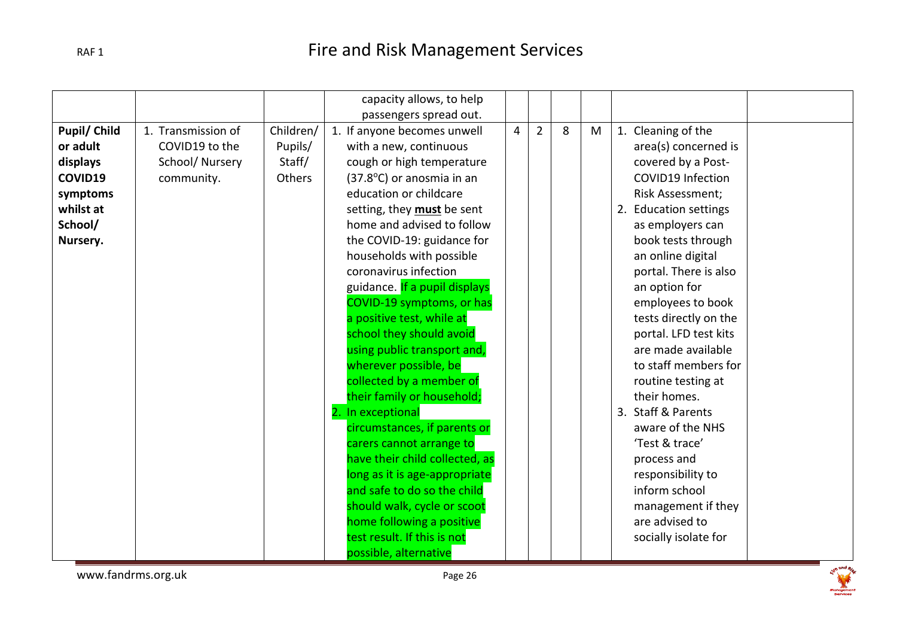|                     |                    |           | capacity allows, to help       |   |                |   |   |                          |
|---------------------|--------------------|-----------|--------------------------------|---|----------------|---|---|--------------------------|
|                     |                    |           | passengers spread out.         |   |                |   |   |                          |
| <b>Pupil/ Child</b> | 1. Transmission of | Children/ | 1. If anyone becomes unwell    | 4 | $\overline{2}$ | 8 | M | 1. Cleaning of the       |
| or adult            | COVID19 to the     | Pupils/   | with a new, continuous         |   |                |   |   | area(s) concerned is     |
| displays            | School/Nursery     | Staff/    | cough or high temperature      |   |                |   |   | covered by a Post-       |
| COVID19             | community.         | Others    | (37.8°C) or anosmia in an      |   |                |   |   | <b>COVID19 Infection</b> |
| symptoms            |                    |           | education or childcare         |   |                |   |   | Risk Assessment;         |
| whilst at           |                    |           | setting, they must be sent     |   |                |   |   | 2. Education settings    |
| School/             |                    |           | home and advised to follow     |   |                |   |   | as employers can         |
| Nursery.            |                    |           | the COVID-19: guidance for     |   |                |   |   | book tests through       |
|                     |                    |           | households with possible       |   |                |   |   | an online digital        |
|                     |                    |           | coronavirus infection          |   |                |   |   | portal. There is also    |
|                     |                    |           | guidance. If a pupil displays  |   |                |   |   | an option for            |
|                     |                    |           | COVID-19 symptoms, or has      |   |                |   |   | employees to book        |
|                     |                    |           | a positive test, while at      |   |                |   |   | tests directly on the    |
|                     |                    |           | school they should avoid       |   |                |   |   | portal. LFD test kits    |
|                     |                    |           | using public transport and,    |   |                |   |   | are made available       |
|                     |                    |           | wherever possible, be          |   |                |   |   | to staff members for     |
|                     |                    |           | collected by a member of       |   |                |   |   | routine testing at       |
|                     |                    |           | their family or household;     |   |                |   |   | their homes.             |
|                     |                    |           | 2. In exceptional              |   |                |   |   | 3. Staff & Parents       |
|                     |                    |           | circumstances, if parents or   |   |                |   |   | aware of the NHS         |
|                     |                    |           | carers cannot arrange to       |   |                |   |   | 'Test & trace'           |
|                     |                    |           | have their child collected, as |   |                |   |   | process and              |
|                     |                    |           | long as it is age-appropriate  |   |                |   |   | responsibility to        |
|                     |                    |           | and safe to do so the child    |   |                |   |   | inform school            |
|                     |                    |           | should walk, cycle or scoot    |   |                |   |   | management if they       |
|                     |                    |           | home following a positive      |   |                |   |   | are advised to           |
|                     |                    |           | test result. If this is not    |   |                |   |   | socially isolate for     |
|                     |                    |           | possible, alternative          |   |                |   |   |                          |

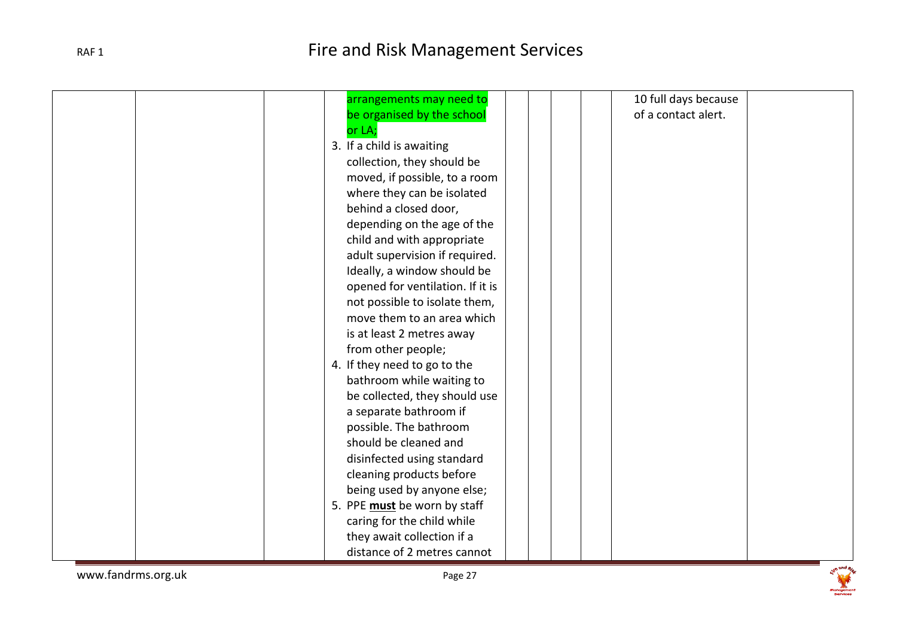| arrangements may need to         | 10 full days because |
|----------------------------------|----------------------|
| be organised by the school       | of a contact alert.  |
| or LA;                           |                      |
| 3. If a child is awaiting        |                      |
| collection, they should be       |                      |
| moved, if possible, to a room    |                      |
| where they can be isolated       |                      |
| behind a closed door,            |                      |
| depending on the age of the      |                      |
| child and with appropriate       |                      |
| adult supervision if required.   |                      |
| Ideally, a window should be      |                      |
| opened for ventilation. If it is |                      |
| not possible to isolate them,    |                      |
| move them to an area which       |                      |
| is at least 2 metres away        |                      |
| from other people;               |                      |
| 4. If they need to go to the     |                      |
| bathroom while waiting to        |                      |
| be collected, they should use    |                      |
| a separate bathroom if           |                      |
| possible. The bathroom           |                      |
| should be cleaned and            |                      |
| disinfected using standard       |                      |
| cleaning products before         |                      |
| being used by anyone else;       |                      |
| 5. PPE must be worn by staff     |                      |
| caring for the child while       |                      |
| they await collection if a       |                      |
| distance of 2 metres cannot      |                      |
|                                  |                      |

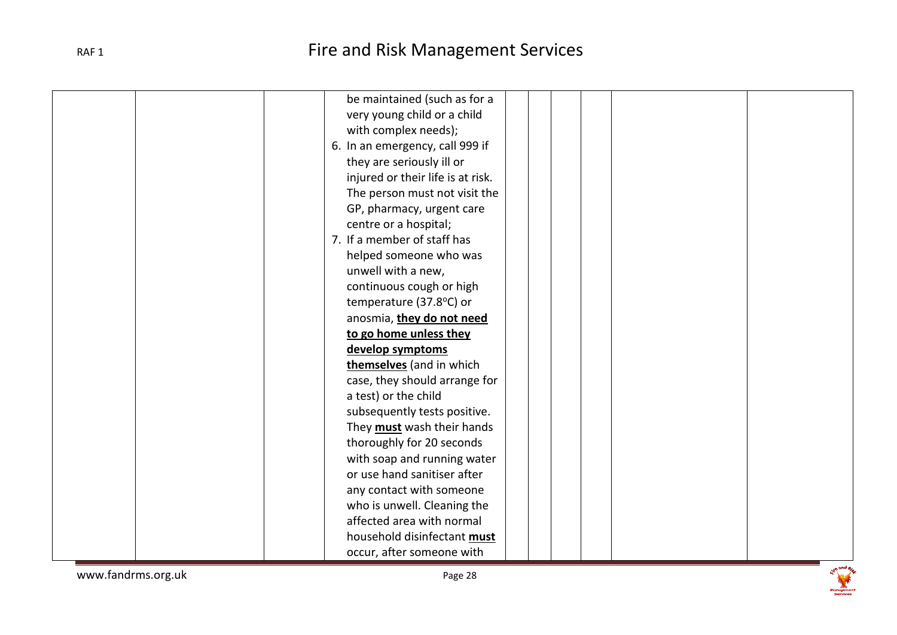| be maintained (such as for a      |
|-----------------------------------|
| very young child or a child       |
| with complex needs);              |
| 6. In an emergency, call 999 if   |
| they are seriously ill or         |
| injured or their life is at risk. |
| The person must not visit the     |
| GP, pharmacy, urgent care         |
| centre or a hospital;             |
| 7. If a member of staff has       |
| helped someone who was            |
| unwell with a new,                |
| continuous cough or high          |
| temperature (37.8°C) or           |
| anosmia, they do not need         |
| to go home unless they            |
| develop symptoms                  |
| themselves (and in which          |
| case, they should arrange for     |
| a test) or the child              |
| subsequently tests positive.      |
| They must wash their hands        |
| thoroughly for 20 seconds         |
| with soap and running water       |
| or use hand sanitiser after       |
| any contact with someone          |
| who is unwell. Cleaning the       |
| affected area with normal         |
| household disinfectant must       |
|                                   |
| occur, after someone with         |

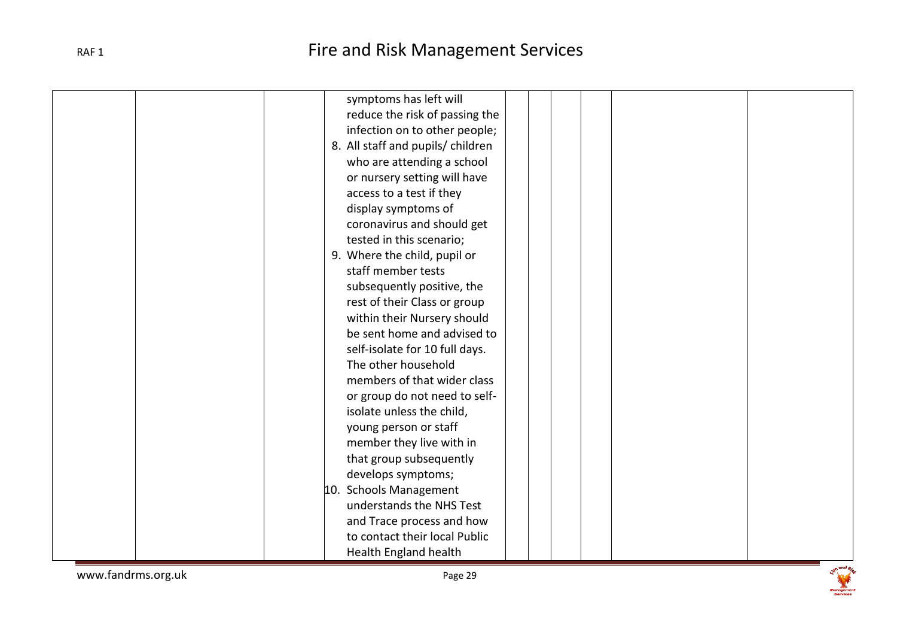| symptoms has left will            |
|-----------------------------------|
| reduce the risk of passing the    |
| infection on to other people;     |
| 8. All staff and pupils/ children |
| who are attending a school        |
| or nursery setting will have      |
| access to a test if they          |
| display symptoms of               |
| coronavirus and should get        |
| tested in this scenario;          |
| 9. Where the child, pupil or      |
| staff member tests                |
| subsequently positive, the        |
| rest of their Class or group      |
| within their Nursery should       |
| be sent home and advised to       |
| self-isolate for 10 full days.    |
| The other household               |
| members of that wider class       |
| or group do not need to self-     |
| isolate unless the child,         |
| young person or staff             |
| member they live with in          |
| that group subsequently           |
| develops symptoms;                |
| 10. Schools Management            |
| understands the NHS Test          |
| and Trace process and how         |
| to contact their local Public     |
| Health England health             |

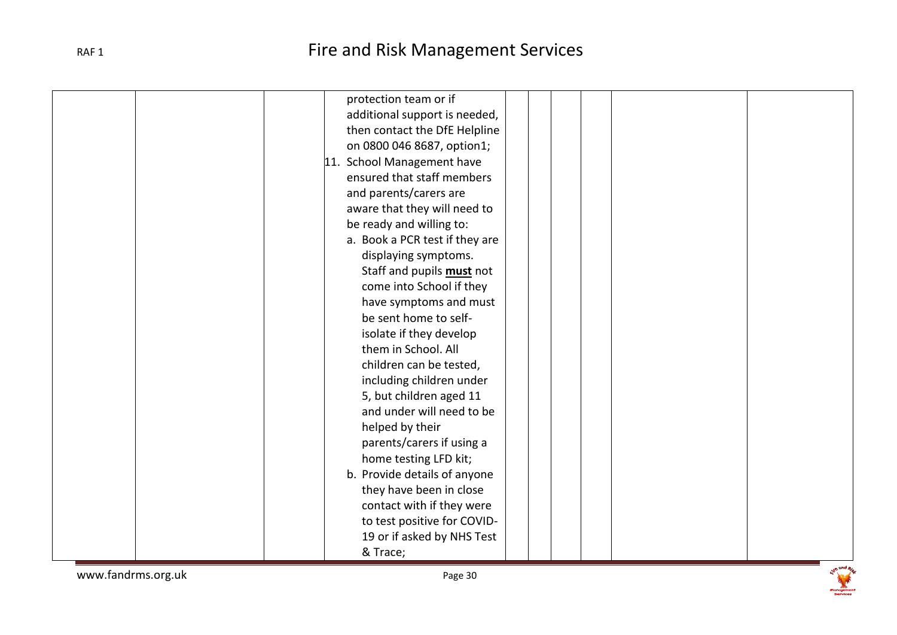| protection team or if            |
|----------------------------------|
| additional support is needed,    |
| then contact the DfE Helpline    |
| on 0800 046 8687, option1;       |
| 11. School Management have       |
| ensured that staff members       |
| and parents/carers are           |
| aware that they will need to     |
| be ready and willing to:         |
| a. Book a PCR test if they are   |
| displaying symptoms.             |
| Staff and pupils <b>must</b> not |
| come into School if they         |
| have symptoms and must           |
| be sent home to self-            |
| isolate if they develop          |
| them in School. All              |
| children can be tested,          |
| including children under         |
| 5, but children aged 11          |
| and under will need to be        |
| helped by their                  |
| parents/carers if using a        |
| home testing LFD kit;            |
| b. Provide details of anyone     |
| they have been in close          |
| contact with if they were        |
| to test positive for COVID-      |
| 19 or if asked by NHS Test       |
| & Trace;                         |

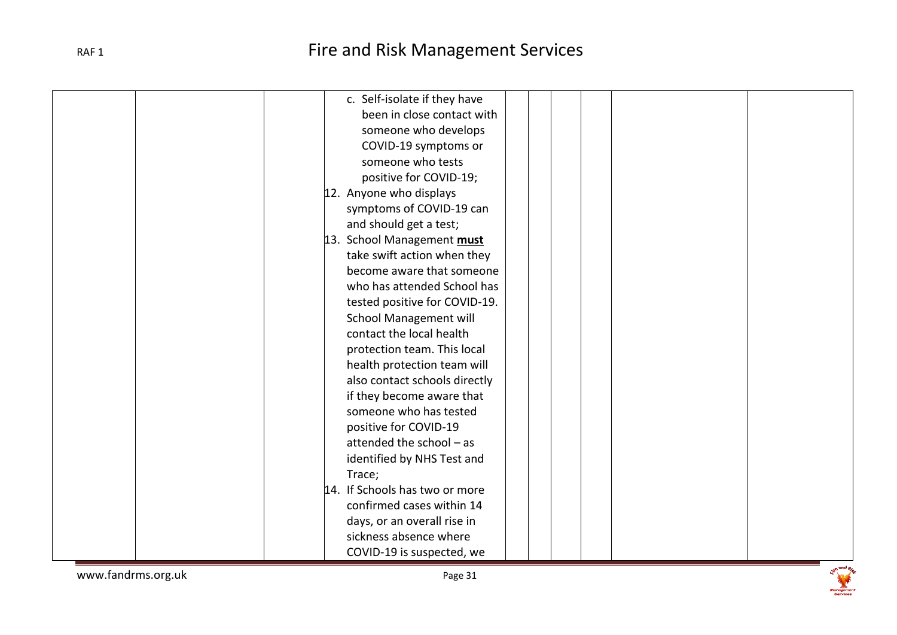| c. Self-isolate if they have   |
|--------------------------------|
| been in close contact with     |
| someone who develops           |
| COVID-19 symptoms or           |
| someone who tests              |
| positive for COVID-19;         |
| 12. Anyone who displays        |
| symptoms of COVID-19 can       |
| and should get a test;         |
| 13. School Management must     |
| take swift action when they    |
| become aware that someone      |
| who has attended School has    |
| tested positive for COVID-19.  |
| <b>School Management will</b>  |
| contact the local health       |
| protection team. This local    |
| health protection team will    |
| also contact schools directly  |
| if they become aware that      |
| someone who has tested         |
| positive for COVID-19          |
| attended the school - as       |
| identified by NHS Test and     |
| Trace;                         |
| 14. If Schools has two or more |
| confirmed cases within 14      |
| days, or an overall rise in    |
| sickness absence where         |
| COVID-19 is suspected, we      |
|                                |

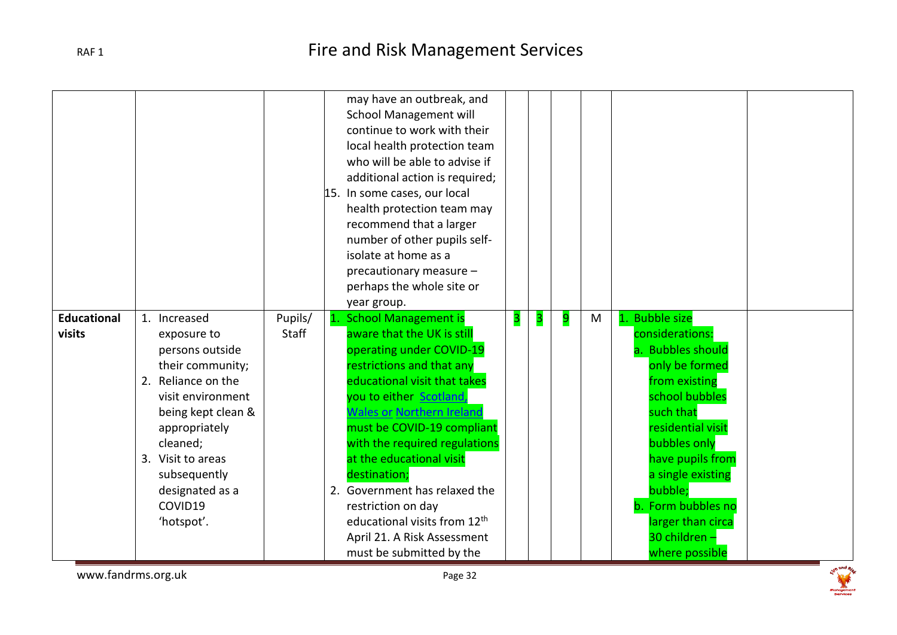|                              |                                                                                                                                                                                                                                                   |                  | may have an outbreak, and<br><b>School Management will</b><br>continue to work with their<br>local health protection team<br>who will be able to advise if<br>additional action is required;<br>15. In some cases, our local<br>health protection team may<br>recommend that a larger<br>number of other pupils self-<br>isolate at home as a<br>precautionary measure -<br>perhaps the whole site or<br>year group.                                                                                                                                                                                                                                                                                                                                            |
|------------------------------|---------------------------------------------------------------------------------------------------------------------------------------------------------------------------------------------------------------------------------------------------|------------------|-----------------------------------------------------------------------------------------------------------------------------------------------------------------------------------------------------------------------------------------------------------------------------------------------------------------------------------------------------------------------------------------------------------------------------------------------------------------------------------------------------------------------------------------------------------------------------------------------------------------------------------------------------------------------------------------------------------------------------------------------------------------|
| <b>Educational</b><br>visits | 1. Increased<br>exposure to<br>persons outside<br>their community;<br>2. Reliance on the<br>visit environment<br>being kept clean &<br>appropriately<br>cleaned;<br>3. Visit to areas<br>subsequently<br>designated as a<br>COVID19<br>'hotspot'. | Pupils/<br>Staff | 1. Bubble size<br>1. School Management is<br>3<br>9<br>3<br>M<br>aware that the UK is still<br>considerations:<br>operating under COVID-19<br>a. Bubbles should<br>restrictions and that any<br>only be formed<br>educational visit that takes<br>from existing<br>you to either Scotland,<br>school bubbles<br><b>Wales or Northern Ireland</b><br>such that<br>must be COVID-19 compliant<br>residential visit<br>with the required regulations<br>bubbles only<br>at the educational visit<br>have pupils from<br>destination;<br>a single existing<br>bubble:<br>2. Government has relaxed the<br>b. Form bubbles no<br>restriction on day<br>educational visits from 12 <sup>th</sup><br>larger than circa<br>30 children -<br>April 21. A Risk Assessment |

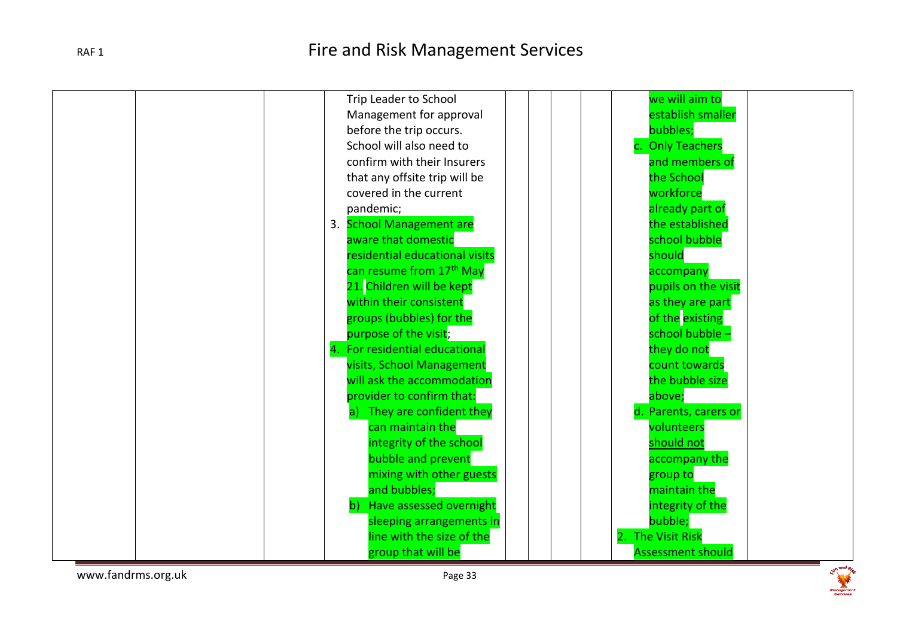| we will aim to<br>Trip Leader to School            |  |
|----------------------------------------------------|--|
| establish smaller<br>Management for approval       |  |
| bubbles;<br>before the trip occurs.                |  |
| School will also need to                           |  |
| <b>Only Teachers</b>                               |  |
| confirm with their Insurers<br>and members of      |  |
| that any offsite trip will be<br>the School        |  |
| workforce<br>covered in the current                |  |
| already part of<br>pandemic;                       |  |
| 3. School Management are<br>the established        |  |
| school bubble<br>aware that domestic               |  |
| residential educational visits<br>should           |  |
| can resume from 17 <sup>th</sup> May<br>accompany  |  |
| 21. Children will be kept<br>pupils on the visit   |  |
| within their consistent<br>as they are part        |  |
| of the existing<br>groups (bubbles) for the        |  |
| purpose of the visit;<br>school bubble -           |  |
| 4. For residential educational<br>they do not      |  |
| visits, School Management<br>count towards         |  |
| will ask the accommodation<br>the bubble size      |  |
| provider to confirm that:<br>above;                |  |
| They are confident they<br>d. Parents, carers or   |  |
| can maintain the<br>volunteers                     |  |
| integrity of the school<br>should not              |  |
| bubble and prevent<br>accompany the                |  |
| mixing with other guests<br>group to               |  |
| and bubbles;<br>maintain the                       |  |
| b) Have assessed overnight<br>integrity of the     |  |
| sleeping arrangements in<br>bubble;                |  |
| line with the size of the<br><b>The Visit Risk</b> |  |
| group that will be<br><b>Assessment should</b>     |  |

www.fandrms.org.uk example and the example of the example of the example of the example of the example of the example of the example of the example of the example of the example of the example of the example of the example

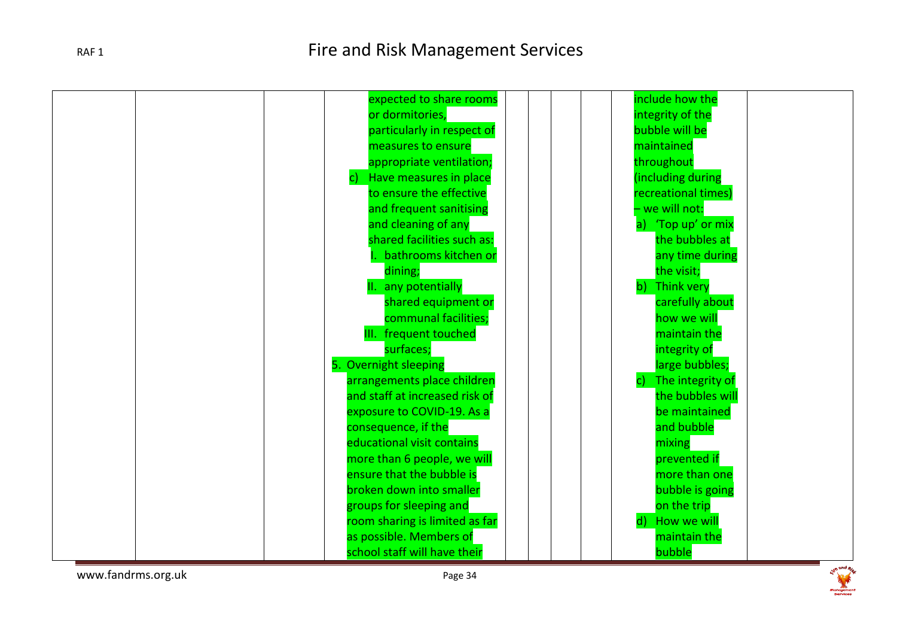

www.fandrms.org.uk experience of the page 34

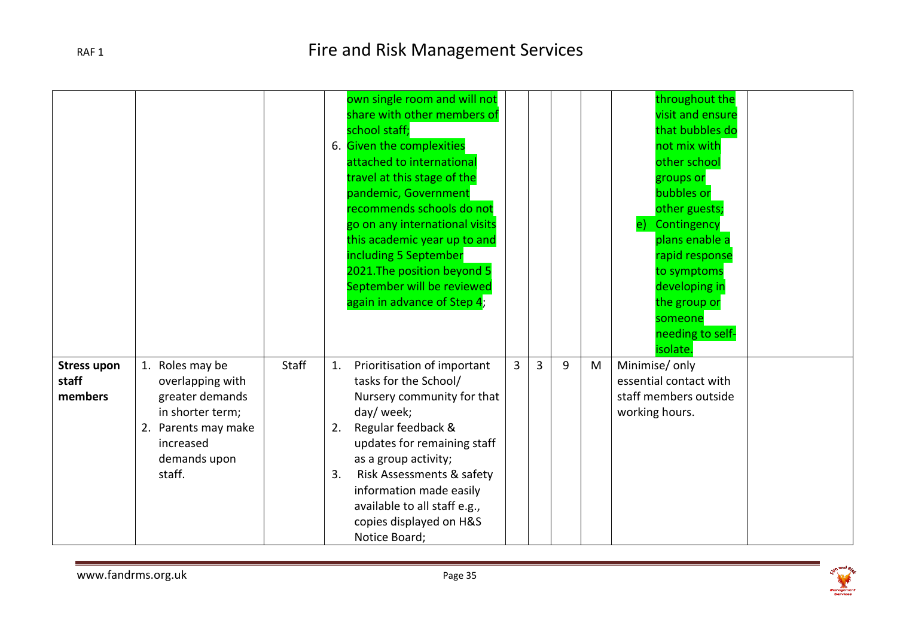|                                        |                                                                                                                                          |              |                | own single room and will not<br>share with other members of<br>school staff;<br>6. Given the complexities<br>attached to international<br>travel at this stage of the<br>pandemic, Government<br>recommends schools do not<br>go on any international visits<br>this academic year up to and<br>including 5 September<br>2021. The position beyond 5<br>September will be reviewed<br>again in advance of Step 4; |                |   |   |   | throughout the<br>visit and ensure<br>that bubbles do<br>not mix with<br>other school<br>groups or<br>bubbles or<br>other guests;<br>Contingency<br>$\mathbf{e}$<br>plans enable a<br>rapid response<br>to symptoms<br>developing in<br>the group or<br>someone<br>needing to self-<br>isolate. |
|----------------------------------------|------------------------------------------------------------------------------------------------------------------------------------------|--------------|----------------|-------------------------------------------------------------------------------------------------------------------------------------------------------------------------------------------------------------------------------------------------------------------------------------------------------------------------------------------------------------------------------------------------------------------|----------------|---|---|---|-------------------------------------------------------------------------------------------------------------------------------------------------------------------------------------------------------------------------------------------------------------------------------------------------|
| <b>Stress upon</b><br>staff<br>members | 1. Roles may be<br>overlapping with<br>greater demands<br>in shorter term;<br>2. Parents may make<br>increased<br>demands upon<br>staff. | <b>Staff</b> | 1.<br>2.<br>3. | Prioritisation of important<br>tasks for the School/<br>Nursery community for that<br>day/ week;<br>Regular feedback &<br>updates for remaining staff<br>as a group activity;<br>Risk Assessments & safety<br>information made easily<br>available to all staff e.g.,<br>copies displayed on H&S<br>Notice Board;                                                                                                 | $\overline{3}$ | 3 | 9 | M | Minimise/ only<br>essential contact with<br>staff members outside<br>working hours.                                                                                                                                                                                                             |

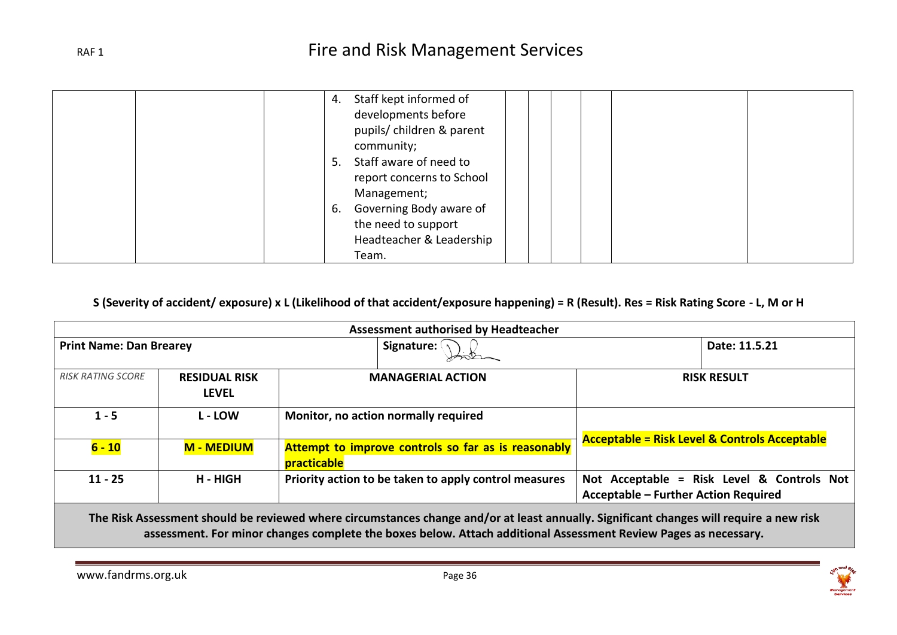|  | Staff kept informed of<br>4.  |
|--|-------------------------------|
|  | developments before           |
|  | pupils/ children & parent     |
|  | community;                    |
|  | Staff aware of need to<br>5.  |
|  | report concerns to School     |
|  | Management;                   |
|  | Governing Body aware of<br>6. |
|  | the need to support           |
|  | Headteacher & Leadership      |
|  | Team.                         |

### **S (Severity of accident/ exposure) x L (Likelihood of that accident/exposure happening) = R (Result). Res = Risk Rating Score - L, M or H**

| Assessment authorised by Headteacher |                                      |                                                                                                                                         |                                                                                           |  |  |  |  |
|--------------------------------------|--------------------------------------|-----------------------------------------------------------------------------------------------------------------------------------------|-------------------------------------------------------------------------------------------|--|--|--|--|
| <b>Print Name: Dan Brearey</b>       |                                      | Date: 11.5.21                                                                                                                           |                                                                                           |  |  |  |  |
| <b>RISK RATING SCORE</b>             | <b>RESIDUAL RISK</b><br><b>LEVEL</b> | <b>MANAGERIAL ACTION</b>                                                                                                                | <b>RISK RESULT</b>                                                                        |  |  |  |  |
| $1 - 5$                              | <b>L</b> - LOW                       | Monitor, no action normally required                                                                                                    |                                                                                           |  |  |  |  |
| $6 - 10$                             | <b>M - MEDIUM</b>                    | Attempt to improve controls so far as is reasonably<br>practicable                                                                      | <b>Acceptable = Risk Level &amp; Controls Acceptable</b>                                  |  |  |  |  |
| $11 - 25$                            | H - HIGH                             | Priority action to be taken to apply control measures                                                                                   | Not Acceptable = Risk Level & Controls Not<br><b>Acceptable - Further Action Required</b> |  |  |  |  |
|                                      |                                      | The Did, Accessories desidded activities distances distances dealers and least consollir. ContRess decomposition and activities and abo |                                                                                           |  |  |  |  |

**The Risk Assessment should be reviewed where circumstances change and/or at least annually. Significant changes will require a new risk assessment. For minor changes complete the boxes below. Attach additional Assessment Review Pages as necessary.**